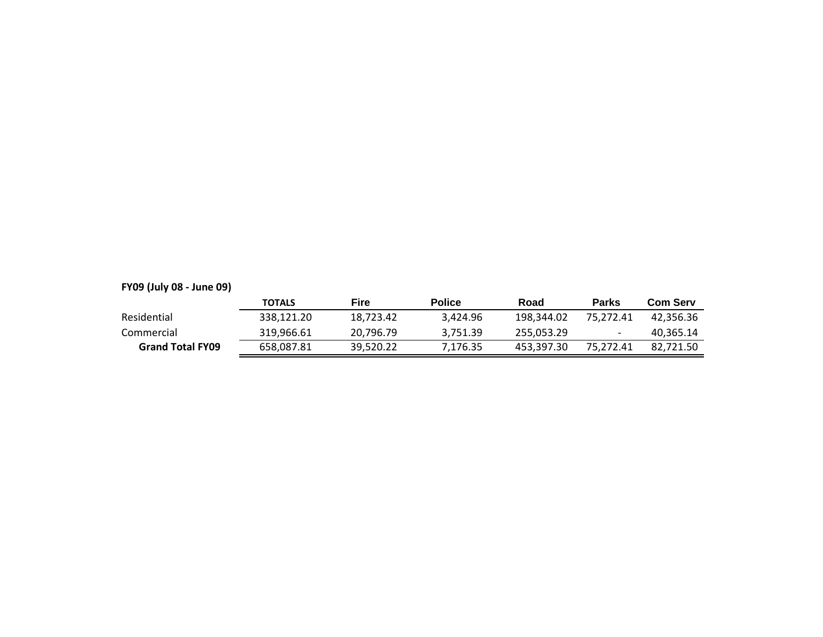# **FY09 (July 08 - June 09)**

|                         | <b>TOTALS</b> | Fire      | <b>Police</b> | Road       | <b>Parks</b> | <b>Com Serv</b> |
|-------------------------|---------------|-----------|---------------|------------|--------------|-----------------|
| Residential             | 338.121.20    | 18.723.42 | 3.424.96      | 198.344.02 | 75.272.41    | 42.356.36       |
| Commercial              | 319.966.61    | 20.796.79 | 3.751.39      | 255.053.29 |              | 40.365.14       |
| <b>Grand Total FY09</b> | 658.087.81    | 39,520.22 | 7.176.35      | 453.397.30 | 75.272.41    | 82.721.50       |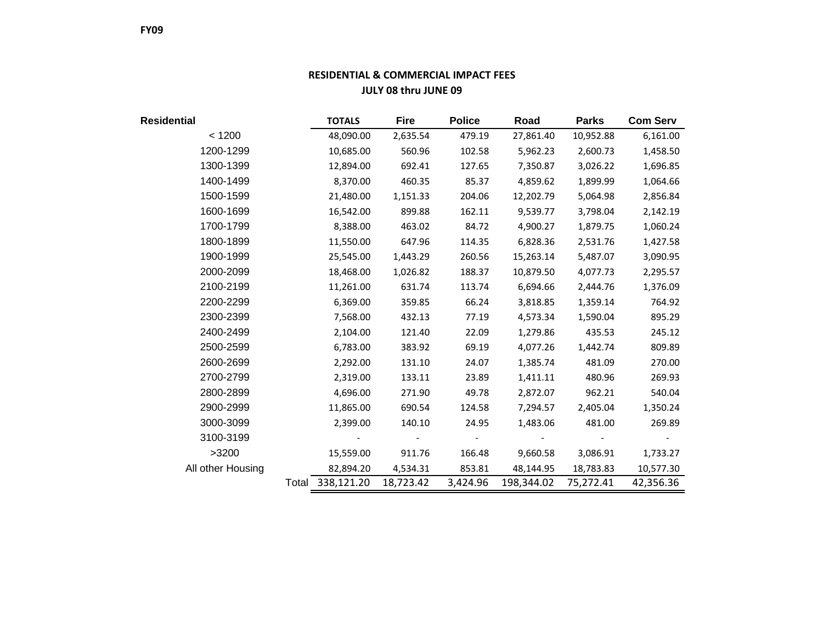# **RESIDENTIAL & COMMERCIAL IMPACT FEES JULY 08 thru JUNE 09**

| Residential       | <b>TOTALS</b>    | <b>Fire</b> | <b>Police</b> | Road       | <b>Parks</b> | <b>Com Serv</b> |
|-------------------|------------------|-------------|---------------|------------|--------------|-----------------|
| < 1200            | 48,090.00        | 2,635.54    | 479.19        | 27,861.40  | 10,952.88    | 6,161.00        |
| 1200-1299         | 10,685.00        | 560.96      | 102.58        | 5,962.23   | 2,600.73     | 1,458.50        |
| 1300-1399         | 12,894.00        | 692.41      | 127.65        | 7,350.87   | 3,026.22     | 1,696.85        |
| 1400-1499         | 8,370.00         | 460.35      | 85.37         | 4,859.62   | 1,899.99     | 1,064.66        |
| 1500-1599         | 21,480.00        | 1,151.33    | 204.06        | 12,202.79  | 5,064.98     | 2,856.84        |
| 1600-1699         | 16,542.00        | 899.88      | 162.11        | 9,539.77   | 3,798.04     | 2,142.19        |
| 1700-1799         | 8,388.00         | 463.02      | 84.72         | 4,900.27   | 1,879.75     | 1,060.24        |
| 1800-1899         | 11,550.00        | 647.96      | 114.35        | 6,828.36   | 2,531.76     | 1,427.58        |
| 1900-1999         | 25,545.00        | 1,443.29    | 260.56        | 15,263.14  | 5,487.07     | 3,090.95        |
| 2000-2099         | 18,468.00        | 1,026.82    | 188.37        | 10,879.50  | 4,077.73     | 2,295.57        |
| 2100-2199         | 11,261.00        | 631.74      | 113.74        | 6,694.66   | 2,444.76     | 1,376.09        |
| 2200-2299         | 6,369.00         | 359.85      | 66.24         | 3,818.85   | 1,359.14     | 764.92          |
| 2300-2399         | 7,568.00         | 432.13      | 77.19         | 4,573.34   | 1,590.04     | 895.29          |
| 2400-2499         | 2,104.00         | 121.40      | 22.09         | 1,279.86   | 435.53       | 245.12          |
| 2500-2599         | 6,783.00         | 383.92      | 69.19         | 4,077.26   | 1,442.74     | 809.89          |
| 2600-2699         | 2,292.00         | 131.10      | 24.07         | 1,385.74   | 481.09       | 270.00          |
| 2700-2799         | 2,319.00         | 133.11      | 23.89         | 1,411.11   | 480.96       | 269.93          |
| 2800-2899         | 4,696.00         | 271.90      | 49.78         | 2,872.07   | 962.21       | 540.04          |
| 2900-2999         | 11,865.00        | 690.54      | 124.58        | 7,294.57   | 2,405.04     | 1,350.24        |
| 3000-3099         | 2,399.00         | 140.10      | 24.95         | 1,483.06   | 481.00       | 269.89          |
| 3100-3199         |                  |             |               |            |              |                 |
| >3200             | 15,559.00        | 911.76      | 166.48        | 9,660.58   | 3,086.91     | 1,733.27        |
| All other Housing | 82,894.20        | 4,534.31    | 853.81        | 48,144.95  | 18,783.83    | 10,577.30       |
|                   | Total 338,121.20 | 18,723.42   | 3,424.96      | 198,344.02 | 75,272.41    | 42,356.36       |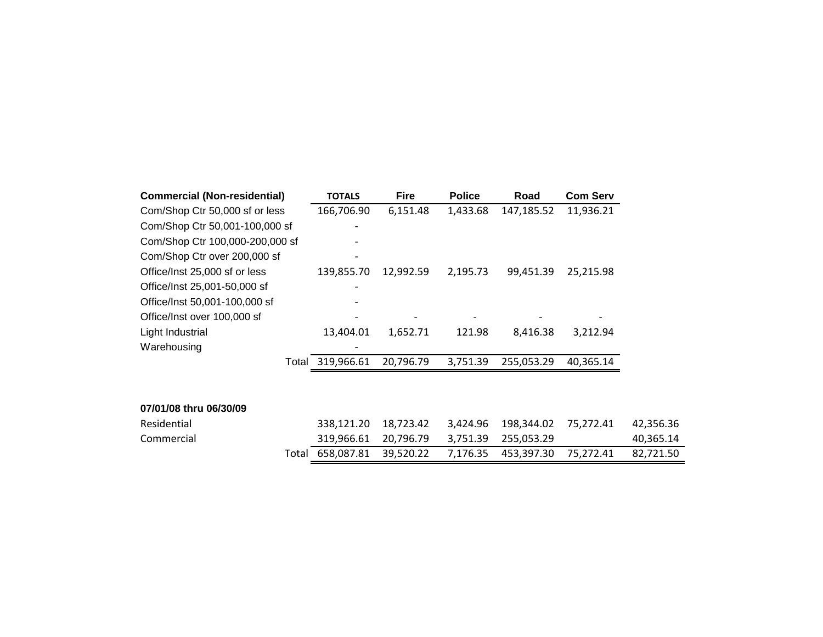| <b>Commercial (Non-residential)</b> | <b>TOTALS</b> | <b>Fire</b> | <b>Police</b> | Road       | <b>Com Serv</b> |           |
|-------------------------------------|---------------|-------------|---------------|------------|-----------------|-----------|
| Com/Shop Ctr 50,000 sf or less      | 166,706.90    | 6,151.48    | 1,433.68      | 147,185.52 | 11,936.21       |           |
| Com/Shop Ctr 50,001-100,000 sf      |               |             |               |            |                 |           |
| Com/Shop Ctr 100,000-200,000 sf     |               |             |               |            |                 |           |
| Com/Shop Ctr over 200,000 sf        |               |             |               |            |                 |           |
| Office/Inst 25,000 sf or less       | 139,855.70    | 12,992.59   | 2,195.73      | 99,451.39  | 25,215.98       |           |
| Office/Inst 25,001-50,000 sf        |               |             |               |            |                 |           |
| Office/Inst 50,001-100,000 sf       |               |             |               |            |                 |           |
| Office/Inst over 100,000 sf         |               |             |               |            |                 |           |
| Light Industrial                    | 13,404.01     | 1,652.71    | 121.98        | 8,416.38   | 3,212.94        |           |
| Warehousing                         |               |             |               |            |                 |           |
| Total                               | 319,966.61    | 20,796.79   | 3,751.39      | 255,053.29 | 40,365.14       |           |
|                                     |               |             |               |            |                 |           |
|                                     |               |             |               |            |                 |           |
| 07/01/08 thru 06/30/09              |               |             |               |            |                 |           |
| Residential                         | 338,121.20    | 18,723.42   | 3,424.96      | 198,344.02 | 75,272.41       | 42,356.36 |
| Commercial                          | 319,966.61    | 20,796.79   | 3,751.39      | 255,053.29 |                 | 40,365.14 |
| Total                               | 658,087.81    | 39,520.22   | 7,176.35      | 453,397.30 | 75,272.41       | 82,721.50 |
|                                     |               |             |               |            |                 |           |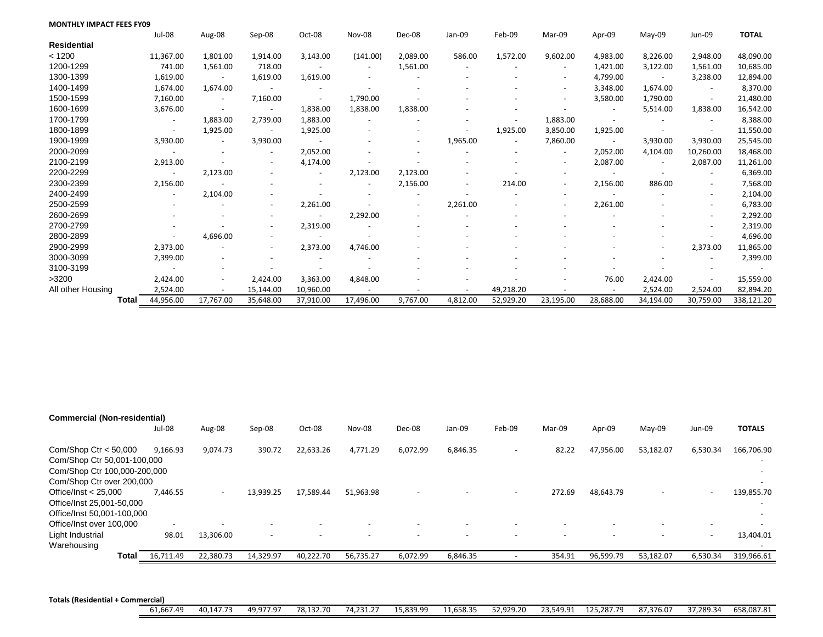| <b>MONTHLY IMPACT FEES FY09</b> |       |                          |                          |           |                          |           |                          |                          |           |                          |                          |                          |                          |              |
|---------------------------------|-------|--------------------------|--------------------------|-----------|--------------------------|-----------|--------------------------|--------------------------|-----------|--------------------------|--------------------------|--------------------------|--------------------------|--------------|
|                                 |       | Jul-08                   | Aug-08                   | Sep-08    | Oct-08                   | Nov-08    | Dec-08                   | Jan-09                   | Feb-09    | Mar-09                   | Apr-09                   | $May-09$                 | Jun-09                   | <b>TOTAL</b> |
| <b>Residential</b>              |       |                          |                          |           |                          |           |                          |                          |           |                          |                          |                          |                          |              |
| < 1200                          |       | 11,367.00                | 1,801.00                 | 1,914.00  | 3,143.00                 | (141.00)  | 2,089.00                 | 586.00                   | 1,572.00  | 9,602.00                 | 4,983.00                 | 8,226.00                 | 2,948.00                 | 48,090.00    |
| 1200-1299                       |       | 741.00                   | 1,561.00                 | 718.00    |                          |           | 1,561.00                 |                          |           |                          | 1,421.00                 | 3,122.00                 | 1,561.00                 | 10,685.00    |
| 1300-1399                       |       | 1,619.00                 |                          | 1,619.00  | 1,619.00                 |           |                          |                          |           | $\overline{\phantom{a}}$ | 4,799.00                 | $\overline{\phantom{a}}$ | 3,238.00                 | 12,894.00    |
| 1400-1499                       |       | 1.674.00                 | 1,674.00                 |           |                          |           |                          |                          |           |                          | 3,348.00                 | 1,674.00                 |                          | 8,370.00     |
| 1500-1599                       |       | 7,160.00                 | $\overline{\phantom{a}}$ | 7,160.00  | $\overline{\phantom{a}}$ | 1,790.00  |                          |                          |           |                          | 3,580.00                 | 1,790.00                 | $\overline{\phantom{a}}$ | 21,480.00    |
| 1600-1699                       |       | 3,676.00                 |                          |           | 1,838.00                 | 1,838.00  | 1,838.00                 |                          |           |                          |                          | 5,514.00                 | 1,838.00                 | 16,542.00    |
| 1700-1799                       |       | $\overline{\phantom{a}}$ | 1,883.00                 | 2,739.00  | 1,883.00                 |           |                          |                          |           | 1,883.00                 |                          |                          |                          | 8,388.00     |
| 1800-1899                       |       |                          | 1,925.00                 |           | 1,925.00                 |           |                          |                          | 1,925.00  | 3,850.00                 | 1,925.00                 |                          |                          | 11,550.00    |
| 1900-1999                       |       | 3,930.00                 |                          | 3,930.00  |                          |           | $\overline{\phantom{a}}$ | 1,965.00                 |           | 7,860.00                 | $\overline{\phantom{a}}$ | 3,930.00                 | 3,930.00                 | 25,545.00    |
| 2000-2099                       |       |                          |                          |           | 2,052.00                 |           |                          |                          |           |                          | 2,052.00                 | 4,104.00                 | 10,260.00                | 18,468.00    |
| 2100-2199                       |       | 2,913.00                 |                          |           | 4,174.00                 |           |                          |                          |           |                          | 2,087.00                 |                          | 2,087.00                 | 11,261.00    |
| 2200-2299                       |       |                          | 2,123.00                 |           |                          | 2,123.00  | 2,123.00                 |                          |           |                          |                          |                          | $\overline{\phantom{a}}$ | 6,369.00     |
| 2300-2399                       |       | 2,156.00                 |                          |           |                          |           | 2,156.00                 | $\overline{\phantom{a}}$ | 214.00    | $\overline{\phantom{a}}$ | 2,156.00                 | 886.00                   | $\sim$                   | 7,568.00     |
| 2400-2499                       |       |                          | 2,104.00                 |           |                          |           |                          |                          |           |                          |                          |                          | $\overline{\phantom{a}}$ | 2,104.00     |
| 2500-2599                       |       |                          |                          |           | 2,261.00                 |           |                          | 2,261.00                 |           |                          | 2,261.00                 |                          |                          | 6,783.00     |
| 2600-2699                       |       |                          |                          |           |                          | 2,292.00  |                          |                          |           |                          |                          |                          | $\overline{\phantom{a}}$ | 2,292.00     |
| 2700-2799                       |       |                          |                          |           | 2,319.00                 |           |                          |                          |           |                          |                          |                          |                          | 2,319.00     |
| 2800-2899                       |       |                          | 4,696.00                 |           |                          |           |                          |                          |           |                          |                          |                          |                          | 4,696.00     |
| 2900-2999                       |       | 2,373.00                 |                          |           | 2,373.00                 | 4,746.00  |                          |                          |           |                          |                          |                          | 2,373.00                 | 11,865.00    |
| 3000-3099                       |       | 2,399.00                 |                          |           |                          |           |                          |                          |           |                          |                          |                          |                          | 2,399.00     |
| 3100-3199                       |       |                          |                          |           |                          |           |                          |                          |           |                          |                          |                          |                          |              |
| >3200                           |       | 2,424.00                 |                          | 2,424.00  | 3,363.00                 | 4,848.00  |                          |                          |           |                          | 76.00                    | 2,424.00                 |                          | 15,559.00    |
| All other Housing               |       | 2,524.00                 |                          | 15,144.00 | 10,960.00                |           |                          |                          | 49,218.20 |                          |                          | 2,524.00                 | 2,524.00                 | 82,894.20    |
|                                 | Total | 44,956.00                | 17,767.00                | 35,648.00 | 37,910.00                | 17,496.00 | 9,767.00                 | 4,812.00                 | 52,929.20 | 23,195.00                | 28,688.00                | 34,194.00                | 30,759.00                | 338,121.20   |

| <b>Commercial (Non-residential)</b>                                                                                 |           |                          |                          |           |           |                          |                          |                          |                          |                          |                          |                          |                                                                    |
|---------------------------------------------------------------------------------------------------------------------|-----------|--------------------------|--------------------------|-----------|-----------|--------------------------|--------------------------|--------------------------|--------------------------|--------------------------|--------------------------|--------------------------|--------------------------------------------------------------------|
|                                                                                                                     | Jul-08    | Aug-08                   | Sep-08                   | Oct-08    | Nov-08    | Dec-08                   | Jan-09                   | Feb-09                   | Mar-09                   | Apr-09                   | May-09                   | Jun-09                   | <b>TOTALS</b>                                                      |
| Com/Shop Ctr $<$ 50,000<br>Com/Shop Ctr 50,001-100,000<br>Com/Shop Ctr 100,000-200,000<br>Com/Shop Ctr over 200,000 | 9.166.93  | 9.074.73                 | 390.72                   | 22,633.26 | 4,771.29  | 6.072.99                 | 6,846.35                 | $\overline{\phantom{0}}$ | 82.22                    | 47,956.00                | 53,182.07                | 6,530.34                 | 166,706.90<br>$\overline{\phantom{a}}$<br>$\sim$                   |
| Office/Inst $<$ 25.000<br>Office/Inst 25,001-50,000<br>Office/Inst 50,001-100,000                                   | 7.446.55  | $\overline{\phantom{0}}$ | 13.939.25                | 17,589.44 | 51.963.98 |                          |                          | $\overline{\phantom{0}}$ | 272.69                   | 48,643.79                |                          | $\overline{\phantom{0}}$ | 139,855.70<br>$\overline{\phantom{0}}$<br>$\overline{\phantom{a}}$ |
| Office/Inst over 100,000                                                                                            |           |                          |                          |           |           |                          |                          |                          |                          |                          |                          | $\overline{\phantom{0}}$ |                                                                    |
| Light Industrial<br>Warehousing                                                                                     | 98.01     | 13,306.00                | $\overline{\phantom{0}}$ |           |           | $\overline{\phantom{0}}$ | $\overline{\phantom{a}}$ | $\overline{\phantom{0}}$ | $\overline{\phantom{a}}$ | $\overline{\phantom{a}}$ | $\overline{\phantom{0}}$ | $\overline{\phantom{a}}$ | 13,404.01<br>$\overline{\phantom{0}}$                              |
| Total                                                                                                               | 16.711.49 | 22,380.73                | 14.329.97                | 40.222.70 | 56.735.27 | 6,072.99                 | 6,846.35                 |                          | 354.91                   | 96,599.79                | 53,182.07                | 6,530.34                 | 319,966.61                                                         |

**Totals (Residential + Commercial)**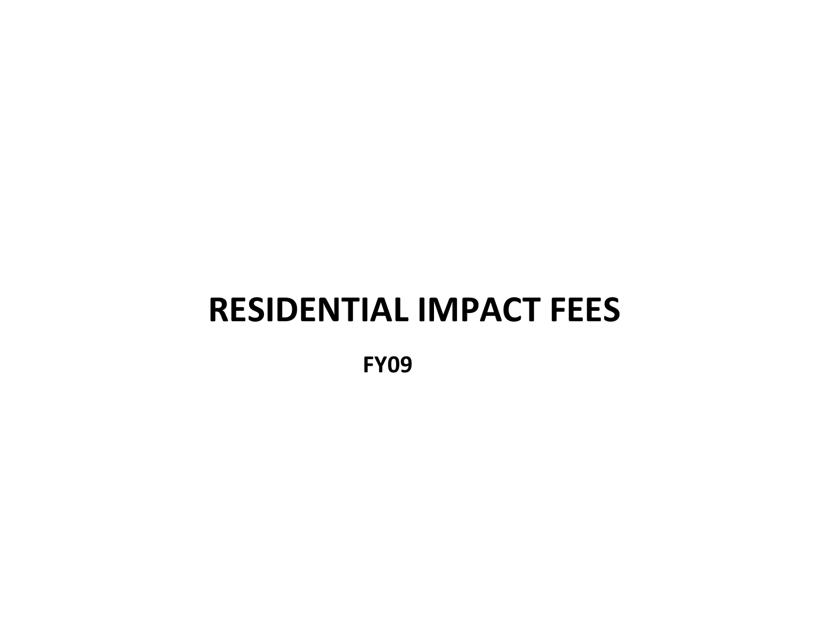# **RESIDENTIAL IMPACT FEES**

**FY09**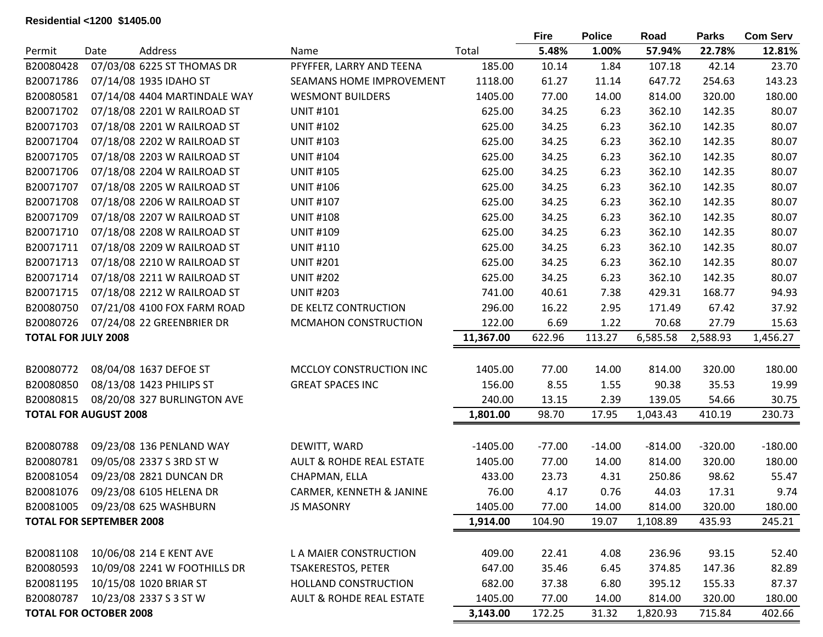# **Residential <1200 \$1405.00**

|                                 |      |                                 |                                     |            | <b>Fire</b> | <b>Police</b> | Road      | <b>Parks</b> | <b>Com Serv</b> |
|---------------------------------|------|---------------------------------|-------------------------------------|------------|-------------|---------------|-----------|--------------|-----------------|
| Permit                          | Date | Address                         | Name                                | Total      | 5.48%       | 1.00%         | 57.94%    | 22.78%       | 12.81%          |
| B20080428                       |      | 07/03/08 6225 ST THOMAS DR      | PFYFFER, LARRY AND TEENA            | 185.00     | 10.14       | 1.84          | 107.18    | 42.14        | 23.70           |
| B20071786                       |      | 07/14/08 1935 IDAHO ST          | SEAMANS HOME IMPROVEMENT            | 1118.00    | 61.27       | 11.14         | 647.72    | 254.63       | 143.23          |
| B20080581                       |      | 07/14/08 4404 MARTINDALE WAY    | <b>WESMONT BUILDERS</b>             | 1405.00    | 77.00       | 14.00         | 814.00    | 320.00       | 180.00          |
| B20071702                       |      | 07/18/08 2201 W RAILROAD ST     | <b>UNIT #101</b>                    | 625.00     | 34.25       | 6.23          | 362.10    | 142.35       | 80.07           |
| B20071703                       |      | 07/18/08 2201 W RAILROAD ST     | <b>UNIT #102</b>                    | 625.00     | 34.25       | 6.23          | 362.10    | 142.35       | 80.07           |
| B20071704                       |      | 07/18/08 2202 W RAILROAD ST     | <b>UNIT #103</b>                    | 625.00     | 34.25       | 6.23          | 362.10    | 142.35       | 80.07           |
| B20071705                       |      | 07/18/08 2203 W RAILROAD ST     | <b>UNIT #104</b>                    | 625.00     | 34.25       | 6.23          | 362.10    | 142.35       | 80.07           |
| B20071706                       |      | 07/18/08 2204 W RAILROAD ST     | <b>UNIT #105</b>                    | 625.00     | 34.25       | 6.23          | 362.10    | 142.35       | 80.07           |
| B20071707                       |      | 07/18/08 2205 W RAILROAD ST     | <b>UNIT #106</b>                    | 625.00     | 34.25       | 6.23          | 362.10    | 142.35       | 80.07           |
| B20071708                       |      | 07/18/08 2206 W RAILROAD ST     | <b>UNIT #107</b>                    | 625.00     | 34.25       | 6.23          | 362.10    | 142.35       | 80.07           |
| B20071709                       |      | 07/18/08 2207 W RAILROAD ST     | <b>UNIT #108</b>                    | 625.00     | 34.25       | 6.23          | 362.10    | 142.35       | 80.07           |
| B20071710                       |      | 07/18/08 2208 W RAILROAD ST     | <b>UNIT #109</b>                    | 625.00     | 34.25       | 6.23          | 362.10    | 142.35       | 80.07           |
| B20071711                       |      | 07/18/08 2209 W RAILROAD ST     | <b>UNIT #110</b>                    | 625.00     | 34.25       | 6.23          | 362.10    | 142.35       | 80.07           |
| B20071713                       |      | 07/18/08 2210 W RAILROAD ST     | <b>UNIT #201</b>                    | 625.00     | 34.25       | 6.23          | 362.10    | 142.35       | 80.07           |
| B20071714                       |      | 07/18/08 2211 W RAILROAD ST     | <b>UNIT #202</b>                    | 625.00     | 34.25       | 6.23          | 362.10    | 142.35       | 80.07           |
| B20071715                       |      | 07/18/08 2212 W RAILROAD ST     | <b>UNIT #203</b>                    | 741.00     | 40.61       | 7.38          | 429.31    | 168.77       | 94.93           |
| B20080750                       |      | 07/21/08 4100 FOX FARM ROAD     | DE KELTZ CONTRUCTION                | 296.00     | 16.22       | 2.95          | 171.49    | 67.42        | 37.92           |
| B20080726                       |      | 07/24/08 22 GREENBRIER DR       | MCMAHON CONSTRUCTION                | 122.00     | 6.69        | 1.22          | 70.68     | 27.79        | 15.63           |
| <b>TOTAL FOR JULY 2008</b>      |      |                                 |                                     | 11,367.00  | 622.96      | 113.27        | 6,585.58  | 2,588.93     | 1,456.27        |
|                                 |      |                                 |                                     |            |             |               |           |              |                 |
| B20080772                       |      | 08/04/08 1637 DEFOE ST          | MCCLOY CONSTRUCTION INC             | 1405.00    | 77.00       | 14.00         | 814.00    | 320.00       | 180.00          |
| B20080850                       |      | 08/13/08 1423 PHILIPS ST        | <b>GREAT SPACES INC</b>             | 156.00     | 8.55        | 1.55          | 90.38     | 35.53        | 19.99           |
| B20080815                       |      | 08/20/08 327 BURLINGTON AVE     |                                     | 240.00     | 13.15       | 2.39          | 139.05    | 54.66        | 30.75           |
| <b>TOTAL FOR AUGUST 2008</b>    |      |                                 |                                     | 1,801.00   | 98.70       | 17.95         | 1,043.43  | 410.19       | 230.73          |
|                                 |      |                                 |                                     |            |             |               |           |              |                 |
| B20080788                       |      | 09/23/08 136 PENLAND WAY        | DEWITT, WARD                        | $-1405.00$ | $-77.00$    | $-14.00$      | $-814.00$ | $-320.00$    | $-180.00$       |
| B20080781                       |      | 09/05/08 2337 S 3RD ST W        | <b>AULT &amp; ROHDE REAL ESTATE</b> | 1405.00    | 77.00       | 14.00         | 814.00    | 320.00       | 180.00          |
| B20081054                       |      | 09/23/08 2821 DUNCAN DR         | CHAPMAN, ELLA                       | 433.00     | 23.73       | 4.31          | 250.86    | 98.62        | 55.47           |
| B20081076                       |      | 09/23/08 6105 HELENA DR         | CARMER, KENNETH & JANINE            | 76.00      | 4.17        | 0.76          | 44.03     | 17.31        | 9.74            |
|                                 |      | B20081005 09/23/08 625 WASHBURN | <b>JS MASONRY</b>                   | 1405.00    | 77.00       | 14.00         | 814.00    | 320.00       | 180.00          |
| <b>TOTAL FOR SEPTEMBER 2008</b> |      |                                 |                                     | 1,914.00   | 104.90      | 19.07         | 1,108.89  | 435.93       | 245.21          |
|                                 |      |                                 |                                     |            |             |               |           |              |                 |
| B20081108                       |      | 10/06/08 214 E KENT AVE         | L A MAIER CONSTRUCTION              | 409.00     | 22.41       | 4.08          | 236.96    | 93.15        | 52.40           |
| B20080593                       |      | 10/09/08 2241 W FOOTHILLS DR    | <b>TSAKERESTOS, PETER</b>           | 647.00     | 35.46       | 6.45          | 374.85    | 147.36       | 82.89           |
| B20081195                       |      | 10/15/08 1020 BRIAR ST          | HOLLAND CONSTRUCTION                | 682.00     | 37.38       | 6.80          | 395.12    | 155.33       | 87.37           |
| B20080787                       |      | 10/23/08 2337 S 3 ST W          | <b>AULT &amp; ROHDE REAL ESTATE</b> | 1405.00    | 77.00       | 14.00         | 814.00    | 320.00       | 180.00          |
| <b>TOTAL FOR OCTOBER 2008</b>   |      |                                 |                                     | 3,143.00   | 172.25      | 31.32         | 1,820.93  | 715.84       | 402.66          |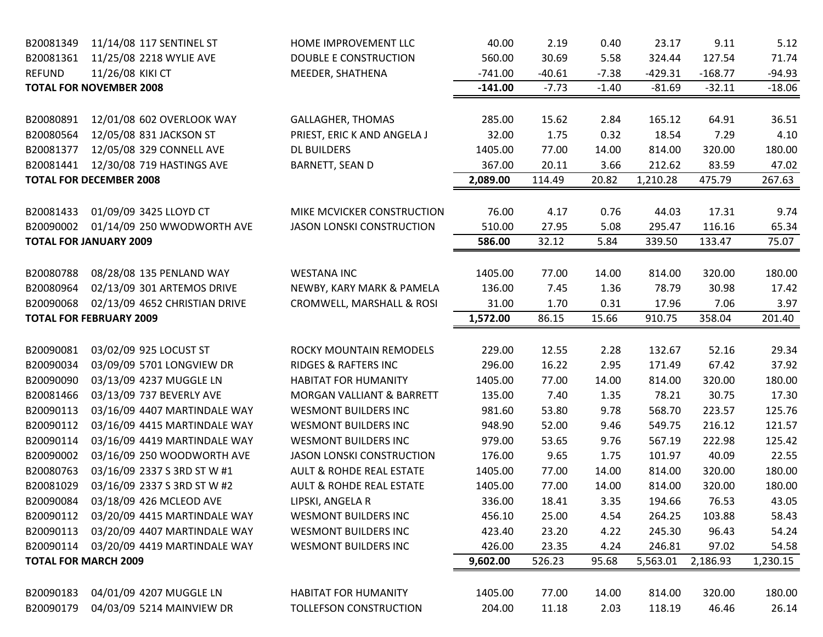| B20081349              | 11/14/08 117 SENTINEL ST                             | HOME IMPROVEMENT LLC                                  | 40.00             | 2.19           | 0.40          | 23.17            | 9.11            | 5.12            |
|------------------------|------------------------------------------------------|-------------------------------------------------------|-------------------|----------------|---------------|------------------|-----------------|-----------------|
| B20081361              | 11/25/08 2218 WYLIE AVE                              | <b>DOUBLE E CONSTRUCTION</b>                          | 560.00            | 30.69          | 5.58          | 324.44           | 127.54          | 71.74           |
| <b>REFUND</b>          | 11/26/08 KIKI CT                                     | MEEDER, SHATHENA                                      | $-741.00$         | $-40.61$       | $-7.38$       | $-429.31$        | $-168.77$       | $-94.93$        |
|                        | <b>TOTAL FOR NOVEMBER 2008</b>                       |                                                       | $-141.00$         | $-7.73$        | $-1.40$       | $-81.69$         | $-32.11$        | $-18.06$        |
| B20080891              | 12/01/08 602 OVERLOOK WAY                            | <b>GALLAGHER, THOMAS</b>                              | 285.00            | 15.62          | 2.84          | 165.12           | 64.91           | 36.51           |
| B20080564              | 12/05/08 831 JACKSON ST                              | PRIEST, ERIC K AND ANGELA J                           | 32.00             | 1.75           | 0.32          | 18.54            | 7.29            | 4.10            |
| B20081377              | 12/05/08 329 CONNELL AVE                             | <b>DL BUILDERS</b>                                    | 1405.00           | 77.00          | 14.00         | 814.00           | 320.00          | 180.00          |
| B20081441              | 12/30/08 719 HASTINGS AVE                            | <b>BARNETT, SEAN D</b>                                | 367.00            | 20.11          | 3.66          | 212.62           | 83.59           | 47.02           |
|                        | <b>TOTAL FOR DECEMBER 2008</b>                       |                                                       | 2,089.00          | 114.49         | 20.82         | 1,210.28         | 475.79          | 267.63          |
|                        |                                                      |                                                       |                   |                |               |                  |                 |                 |
| B20081433              | 01/09/09 3425 LLOYD CT                               | MIKE MCVICKER CONSTRUCTION                            | 76.00             | 4.17           | 0.76          | 44.03            | 17.31           | 9.74            |
| B20090002              | 01/14/09 250 WWODWORTH AVE                           | <b>JASON LONSKI CONSTRUCTION</b>                      | 510.00            | 27.95          | 5.08          | 295.47           | 116.16          | 65.34           |
|                        | <b>TOTAL FOR JANUARY 2009</b>                        |                                                       | 586.00            | 32.12          | 5.84          | 339.50           | 133.47          | 75.07           |
|                        |                                                      |                                                       |                   |                |               |                  |                 |                 |
| B20080788              | 08/28/08 135 PENLAND WAY                             | <b>WESTANA INC</b>                                    | 1405.00           | 77.00          | 14.00         | 814.00           | 320.00          | 180.00          |
| B20080964              | 02/13/09 301 ARTEMOS DRIVE                           | NEWBY, KARY MARK & PAMELA                             | 136.00            | 7.45           | 1.36          | 78.79            | 30.98           | 17.42           |
| B20090068              | 02/13/09 4652 CHRISTIAN DRIVE                        | CROMWELL, MARSHALL & ROSI                             | 31.00             | 1.70           | 0.31          | 17.96            | 7.06            | 3.97            |
|                        | <b>TOTAL FOR FEBRUARY 2009</b>                       |                                                       | 1,572.00          | 86.15          | 15.66         | 910.75           | 358.04          | 201.40          |
|                        |                                                      |                                                       |                   |                |               |                  |                 |                 |
|                        |                                                      | ROCKY MOUNTAIN REMODELS                               | 229.00            | 12.55          | 2.28          | 132.67           | 52.16           | 29.34           |
| B20090081              | 03/02/09 925 LOCUST ST                               |                                                       |                   |                |               |                  |                 |                 |
| B20090034              | 03/09/09 5701 LONGVIEW DR                            | <b>RIDGES &amp; RAFTERS INC</b>                       | 296.00            | 16.22          | 2.95          | 171.49           | 67.42           | 37.92           |
| B20090090              | 03/13/09 4237 MUGGLE LN                              | <b>HABITAT FOR HUMANITY</b>                           | 1405.00           | 77.00          | 14.00         | 814.00           | 320.00          | 180.00          |
| B20081466              | 03/13/09 737 BEVERLY AVE                             | MORGAN VALLIANT & BARRETT                             | 135.00            | 7.40           | 1.35          | 78.21            | 30.75           | 17.30           |
| B20090113              | 03/16/09 4407 MARTINDALE WAY                         | <b>WESMONT BUILDERS INC</b>                           | 981.60            | 53.80          | 9.78          | 568.70           | 223.57          | 125.76          |
| B20090112              | 03/16/09 4415 MARTINDALE WAY                         | <b>WESMONT BUILDERS INC</b>                           | 948.90            | 52.00          | 9.46          | 549.75           | 216.12          | 121.57          |
| B20090114              | 03/16/09 4419 MARTINDALE WAY                         | <b>WESMONT BUILDERS INC</b>                           | 979.00            | 53.65          | 9.76          | 567.19           | 222.98          | 125.42          |
| B20090002              | 03/16/09 250 WOODWORTH AVE                           | <b>JASON LONSKI CONSTRUCTION</b>                      | 176.00            | 9.65           | 1.75          | 101.97           | 40.09           | 22.55           |
| B20080763              | 03/16/09 2337 S 3RD ST W #1                          | <b>AULT &amp; ROHDE REAL ESTATE</b>                   | 1405.00           | 77.00          | 14.00         | 814.00           | 320.00          | 180.00          |
| B20081029              | 03/16/09 2337 S 3RD ST W #2                          | <b>AULT &amp; ROHDE REAL ESTATE</b>                   | 1405.00           | 77.00          | 14.00         | 814.00           | 320.00          | 180.00          |
| B20090084              | 03/18/09 426 MCLEOD AVE                              | LIPSKI, ANGELA R                                      | 336.00            | 18.41          | 3.35          | 194.66           | 76.53           | 43.05           |
| B20090112              | 03/20/09 4415 MARTINDALE WAY                         | <b>WESMONT BUILDERS INC</b>                           | 456.10            | 25.00          | 4.54          | 264.25           | 103.88          | 58.43           |
| B20090113              | 03/20/09 4407 MARTINDALE WAY                         | <b>WESMONT BUILDERS INC</b>                           | 423.40            | 23.20          | 4.22          | 245.30           | 96.43           | 54.24           |
| B20090114              | 03/20/09 4419 MARTINDALE WAY                         | <b>WESMONT BUILDERS INC</b>                           | 426.00            | 23.35          | 4.24          | 246.81           | 97.02           | 54.58           |
|                        | <b>TOTAL FOR MARCH 2009</b>                          |                                                       | 9,602.00          | 526.23         | 95.68         | 5,563.01         | 2,186.93        | 1,230.15        |
|                        |                                                      |                                                       |                   |                |               |                  |                 |                 |
| B20090183<br>B20090179 | 04/01/09 4207 MUGGLE LN<br>04/03/09 5214 MAINVIEW DR | <b>HABITAT FOR HUMANITY</b><br>TOLLEFSON CONSTRUCTION | 1405.00<br>204.00 | 77.00<br>11.18 | 14.00<br>2.03 | 814.00<br>118.19 | 320.00<br>46.46 | 180.00<br>26.14 |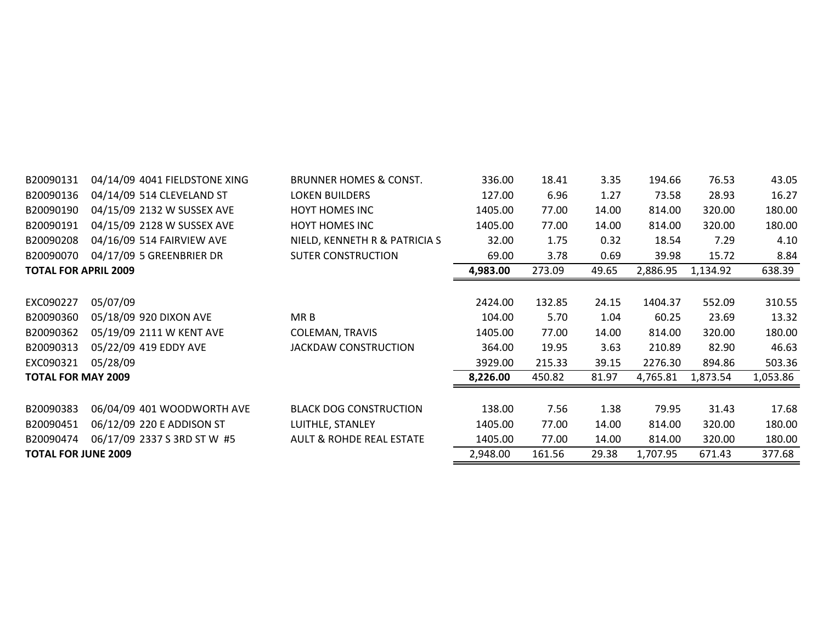| B20090131                   | 04/14/09 4041 FIELDSTONE XING | <b>BRUNNER HOMES &amp; CONST.</b>   | 336.00   | 18.41  | 3.35  | 194.66   | 76.53    | 43.05    |
|-----------------------------|-------------------------------|-------------------------------------|----------|--------|-------|----------|----------|----------|
| B20090136                   | 04/14/09 514 CLEVELAND ST     | <b>LOKEN BUILDERS</b>               | 127.00   | 6.96   | 1.27  | 73.58    | 28.93    | 16.27    |
| B20090190                   | 04/15/09 2132 W SUSSEX AVE    | <b>HOYT HOMES INC</b>               | 1405.00  | 77.00  | 14.00 | 814.00   | 320.00   | 180.00   |
| B20090191                   | 04/15/09 2128 W SUSSEX AVE    | <b>HOYT HOMES INC</b>               | 1405.00  | 77.00  | 14.00 | 814.00   | 320.00   | 180.00   |
| B20090208                   | 04/16/09 514 FAIRVIEW AVE     | NIELD, KENNETH R & PATRICIA S       | 32.00    | 1.75   | 0.32  | 18.54    | 7.29     | 4.10     |
| B20090070                   | 04/17/09 5 GREENBRIER DR      | <b>SUTER CONSTRUCTION</b>           | 69.00    | 3.78   | 0.69  | 39.98    | 15.72    | 8.84     |
| <b>TOTAL FOR APRIL 2009</b> |                               |                                     | 4,983.00 | 273.09 | 49.65 | 2,886.95 | 1,134.92 | 638.39   |
|                             |                               |                                     |          |        |       |          |          |          |
| EXC090227                   | 05/07/09                      |                                     | 2424.00  | 132.85 | 24.15 | 1404.37  | 552.09   | 310.55   |
| B20090360                   | 05/18/09 920 DIXON AVE        | MR B                                | 104.00   | 5.70   | 1.04  | 60.25    | 23.69    | 13.32    |
| B20090362                   | 05/19/09 2111 W KENT AVE      | <b>COLEMAN, TRAVIS</b>              | 1405.00  | 77.00  | 14.00 | 814.00   | 320.00   | 180.00   |
| B20090313                   | 05/22/09 419 EDDY AVE         | <b>JACKDAW CONSTRUCTION</b>         | 364.00   | 19.95  | 3.63  | 210.89   | 82.90    | 46.63    |
| EXC090321                   | 05/28/09                      |                                     | 3929.00  | 215.33 | 39.15 | 2276.30  | 894.86   | 503.36   |
| <b>TOTAL FOR MAY 2009</b>   |                               |                                     | 8,226.00 | 450.82 | 81.97 | 4,765.81 | 1,873.54 | 1,053.86 |
|                             |                               |                                     |          |        |       |          |          |          |
| B20090383                   | 06/04/09 401 WOODWORTH AVE    | <b>BLACK DOG CONSTRUCTION</b>       | 138.00   | 7.56   | 1.38  | 79.95    | 31.43    | 17.68    |
| B20090451                   | 06/12/09 220 E ADDISON ST     | LUITHLE, STANLEY                    | 1405.00  | 77.00  | 14.00 | 814.00   | 320.00   | 180.00   |
| B20090474                   | 06/17/09 2337 S 3RD ST W #5   | <b>AULT &amp; ROHDE REAL ESTATE</b> | 1405.00  | 77.00  | 14.00 | 814.00   | 320.00   | 180.00   |
| <b>TOTAL FOR JUNE 2009</b>  |                               |                                     | 2,948.00 | 161.56 | 29.38 | 1,707.95 | 671.43   | 377.68   |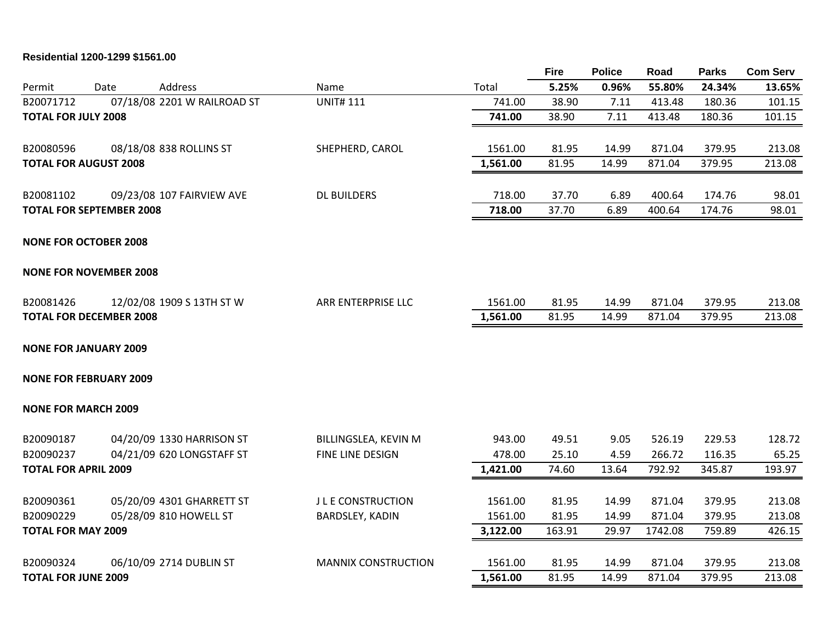**Residential 1200-1299 \$1561.00**

| Total<br>Address<br>Permit<br>Date<br>Name<br>07/18/08 2201 W RAILROAD ST<br><b>UNIT#111</b><br>B20071712<br>741.00<br><b>TOTAL FOR JULY 2008</b><br>741.00<br>B20080596<br>08/18/08 838 ROLLINS ST<br>SHEPHERD, CAROL<br>1561.00 | 5.25%<br>38.90<br>38.90 | 0.96%<br>7.11<br>7.11 | 55.80%<br>413.48 | 24.34%<br>180.36 | 13.65% |
|-----------------------------------------------------------------------------------------------------------------------------------------------------------------------------------------------------------------------------------|-------------------------|-----------------------|------------------|------------------|--------|
|                                                                                                                                                                                                                                   |                         |                       |                  |                  |        |
|                                                                                                                                                                                                                                   |                         |                       |                  |                  | 101.15 |
|                                                                                                                                                                                                                                   |                         |                       | 413.48           | 180.36           | 101.15 |
|                                                                                                                                                                                                                                   | 81.95                   | 14.99                 | 871.04           | 379.95           | 213.08 |
| 1,561.00<br><b>TOTAL FOR AUGUST 2008</b>                                                                                                                                                                                          | 81.95                   | 14.99                 | 871.04           | 379.95           | 213.08 |
| B20081102<br>09/23/08 107 FAIRVIEW AVE<br><b>DL BUILDERS</b><br>718.00                                                                                                                                                            | 37.70                   | 6.89                  | 400.64           | 174.76           | 98.01  |
| <b>TOTAL FOR SEPTEMBER 2008</b><br>718.00                                                                                                                                                                                         | 37.70                   | 6.89                  | 400.64           | 174.76           | 98.01  |
| <b>NONE FOR OCTOBER 2008</b>                                                                                                                                                                                                      |                         |                       |                  |                  |        |
| <b>NONE FOR NOVEMBER 2008</b>                                                                                                                                                                                                     |                         |                       |                  |                  |        |
| 12/02/08 1909 S 13TH ST W<br>ARR ENTERPRISE LLC<br>1561.00<br>B20081426                                                                                                                                                           | 81.95                   | 14.99                 | 871.04           | 379.95           | 213.08 |
| 1,561.00<br><b>TOTAL FOR DECEMBER 2008</b>                                                                                                                                                                                        | 81.95                   | 14.99                 | 871.04           | 379.95           | 213.08 |
| <b>NONE FOR JANUARY 2009</b>                                                                                                                                                                                                      |                         |                       |                  |                  |        |
| <b>NONE FOR FEBRUARY 2009</b>                                                                                                                                                                                                     |                         |                       |                  |                  |        |
| <b>NONE FOR MARCH 2009</b>                                                                                                                                                                                                        |                         |                       |                  |                  |        |
| 04/20/09 1330 HARRISON ST<br>B20090187<br>BILLINGSLEA, KEVIN M<br>943.00                                                                                                                                                          | 49.51                   | 9.05                  | 526.19           | 229.53           | 128.72 |
| B20090237<br>04/21/09 620 LONGSTAFF ST<br>FINE LINE DESIGN<br>478.00                                                                                                                                                              | 25.10                   | 4.59                  | 266.72           | 116.35           | 65.25  |
| <b>TOTAL FOR APRIL 2009</b><br>1,421.00                                                                                                                                                                                           | 74.60                   | 13.64                 | 792.92           | 345.87           | 193.97 |
| B20090361<br>05/20/09 4301 GHARRETT ST<br><b>J L E CONSTRUCTION</b><br>1561.00                                                                                                                                                    | 81.95                   | 14.99                 | 871.04           | 379.95           | 213.08 |
| B20090229<br>05/28/09 810 HOWELL ST<br>1561.00<br><b>BARDSLEY, KADIN</b>                                                                                                                                                          | 81.95                   | 14.99                 | 871.04           | 379.95           | 213.08 |
| <b>TOTAL FOR MAY 2009</b><br>3,122.00                                                                                                                                                                                             | 163.91                  | 29.97                 | 1742.08          | 759.89           | 426.15 |
| B20090324<br>06/10/09 2714 DUBLIN ST<br><b>MANNIX CONSTRUCTION</b><br>1561.00                                                                                                                                                     | 81.95                   | 14.99                 | 871.04           | 379.95           | 213.08 |
| <b>TOTAL FOR JUNE 2009</b><br>1,561.00                                                                                                                                                                                            | 81.95                   | 14.99                 | 871.04           | 379.95           | 213.08 |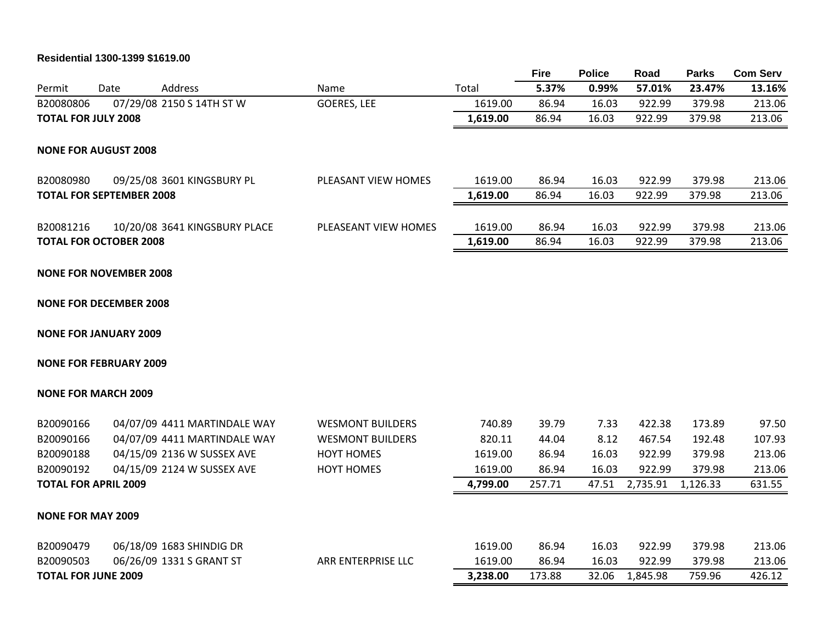# **Residential 1300-1399 \$1619.00**

|                                 |      |                               |                         |          | <b>Fire</b> | <b>Police</b> | Road     | <b>Parks</b> | <b>Com Serv</b> |
|---------------------------------|------|-------------------------------|-------------------------|----------|-------------|---------------|----------|--------------|-----------------|
| Permit                          | Date | <b>Address</b>                | Name                    | Total    | 5.37%       | 0.99%         | 57.01%   | 23.47%       | 13.16%          |
| B20080806                       |      | 07/29/08 2150 S 14TH ST W     | GOERES, LEE             | 1619.00  | 86.94       | 16.03         | 922.99   | 379.98       | 213.06          |
| <b>TOTAL FOR JULY 2008</b>      |      |                               |                         | 1,619.00 | 86.94       | 16.03         | 922.99   | 379.98       | 213.06          |
| <b>NONE FOR AUGUST 2008</b>     |      |                               |                         |          |             |               |          |              |                 |
| B20080980                       |      | 09/25/08 3601 KINGSBURY PL    | PLEASANT VIEW HOMES     | 1619.00  | 86.94       | 16.03         | 922.99   | 379.98       | 213.06          |
| <b>TOTAL FOR SEPTEMBER 2008</b> |      |                               |                         | 1,619.00 | 86.94       | 16.03         | 922.99   | 379.98       | 213.06          |
| B20081216                       |      | 10/20/08 3641 KINGSBURY PLACE | PLEASEANT VIEW HOMES    | 1619.00  | 86.94       | 16.03         | 922.99   | 379.98       | 213.06          |
| <b>TOTAL FOR OCTOBER 2008</b>   |      |                               |                         | 1,619.00 | 86.94       | 16.03         | 922.99   | 379.98       | 213.06          |
| <b>NONE FOR NOVEMBER 2008</b>   |      |                               |                         |          |             |               |          |              |                 |
| <b>NONE FOR DECEMBER 2008</b>   |      |                               |                         |          |             |               |          |              |                 |
| <b>NONE FOR JANUARY 2009</b>    |      |                               |                         |          |             |               |          |              |                 |
| <b>NONE FOR FEBRUARY 2009</b>   |      |                               |                         |          |             |               |          |              |                 |
| <b>NONE FOR MARCH 2009</b>      |      |                               |                         |          |             |               |          |              |                 |
| B20090166                       |      | 04/07/09 4411 MARTINDALE WAY  | <b>WESMONT BUILDERS</b> | 740.89   | 39.79       | 7.33          | 422.38   | 173.89       | 97.50           |
| B20090166                       |      | 04/07/09 4411 MARTINDALE WAY  | <b>WESMONT BUILDERS</b> | 820.11   | 44.04       | 8.12          | 467.54   | 192.48       | 107.93          |
| B20090188                       |      | 04/15/09 2136 W SUSSEX AVE    | <b>HOYT HOMES</b>       | 1619.00  | 86.94       | 16.03         | 922.99   | 379.98       | 213.06          |
| B20090192                       |      | 04/15/09 2124 W SUSSEX AVE    | <b>HOYT HOMES</b>       | 1619.00  | 86.94       | 16.03         | 922.99   | 379.98       | 213.06          |
| <b>TOTAL FOR APRIL 2009</b>     |      |                               |                         | 4,799.00 | 257.71      | 47.51         | 2,735.91 | 1,126.33     | 631.55          |
| <b>NONE FOR MAY 2009</b>        |      |                               |                         |          |             |               |          |              |                 |
| B20090479                       |      | 06/18/09 1683 SHINDIG DR      |                         | 1619.00  | 86.94       | 16.03         | 922.99   | 379.98       | 213.06          |
| B20090503                       |      | 06/26/09 1331 S GRANT ST      | ARR ENTERPRISE LLC      | 1619.00  | 86.94       | 16.03         | 922.99   | 379.98       | 213.06          |
| <b>TOTAL FOR JUNE 2009</b>      |      |                               |                         | 3,238.00 | 173.88      | 32.06         | 1,845.98 | 759.96       | 426.12          |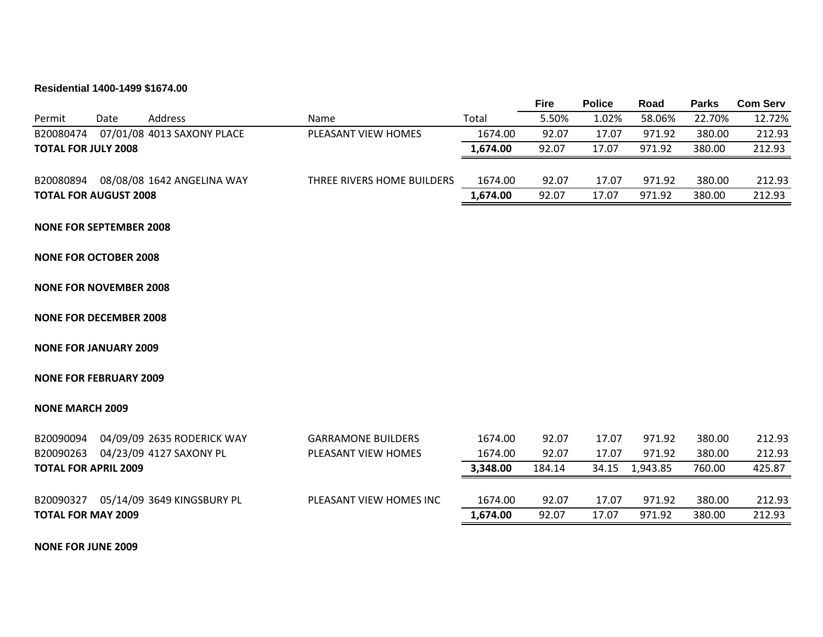# **Residential 1400-1499 \$1674.00**

|                        |                                |                                      |                            |          | <b>Fire</b> | <b>Police</b> | Road     | <b>Parks</b> | <b>Com Serv</b> |
|------------------------|--------------------------------|--------------------------------------|----------------------------|----------|-------------|---------------|----------|--------------|-----------------|
| Permit                 | Date                           | Address                              | Name                       | Total    | 5.50%       | 1.02%         | 58.06%   | 22.70%       | 12.72%          |
| B20080474              |                                | 07/01/08 4013 SAXONY PLACE           | PLEASANT VIEW HOMES        | 1674.00  | 92.07       | 17.07         | 971.92   | 380.00       | 212.93          |
|                        | <b>TOTAL FOR JULY 2008</b>     |                                      |                            | 1,674.00 | 92.07       | 17.07         | 971.92   | 380.00       | 212.93          |
|                        |                                | B20080894 08/08/08 1642 ANGELINA WAY | THREE RIVERS HOME BUILDERS | 1674.00  | 92.07       | 17.07         | 971.92   | 380.00       | 212.93          |
|                        | <b>TOTAL FOR AUGUST 2008</b>   |                                      |                            | 1,674.00 | 92.07       | 17.07         | 971.92   | 380.00       | 212.93          |
|                        | <b>NONE FOR SEPTEMBER 2008</b> |                                      |                            |          |             |               |          |              |                 |
|                        | <b>NONE FOR OCTOBER 2008</b>   |                                      |                            |          |             |               |          |              |                 |
|                        | <b>NONE FOR NOVEMBER 2008</b>  |                                      |                            |          |             |               |          |              |                 |
|                        | <b>NONE FOR DECEMBER 2008</b>  |                                      |                            |          |             |               |          |              |                 |
|                        | <b>NONE FOR JANUARY 2009</b>   |                                      |                            |          |             |               |          |              |                 |
|                        | <b>NONE FOR FEBRUARY 2009</b>  |                                      |                            |          |             |               |          |              |                 |
| <b>NONE MARCH 2009</b> |                                |                                      |                            |          |             |               |          |              |                 |
|                        |                                | B20090094 04/09/09 2635 RODERICK WAY | <b>GARRAMONE BUILDERS</b>  | 1674.00  | 92.07       | 17.07         | 971.92   | 380.00       | 212.93          |
|                        |                                | B20090263 04/23/09 4127 SAXONY PL    | PLEASANT VIEW HOMES        | 1674.00  | 92.07       | 17.07         | 971.92   | 380.00       | 212.93          |
|                        | <b>TOTAL FOR APRIL 2009</b>    |                                      |                            | 3,348.00 | 184.14      | 34.15         | 1,943.85 | 760.00       | 425.87          |
|                        |                                | B20090327 05/14/09 3649 KINGSBURY PL | PLEASANT VIEW HOMES INC    | 1674.00  | 92.07       | 17.07         | 971.92   | 380.00       | 212.93          |
|                        | <b>TOTAL FOR MAY 2009</b>      |                                      |                            | 1,674.00 | 92.07       | 17.07         | 971.92   | 380.00       | 212.93          |
|                        |                                |                                      |                            |          |             |               |          |              |                 |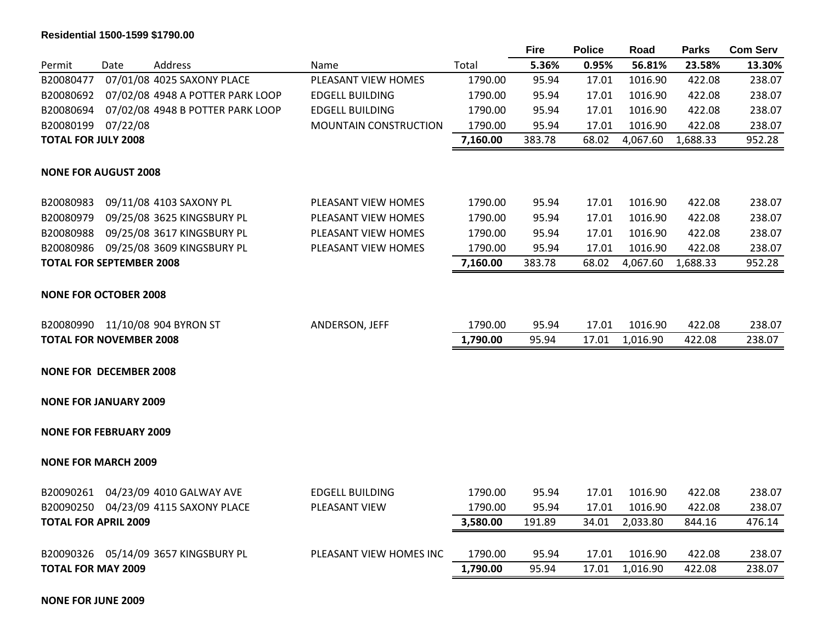# **Residential 1500-1599 \$1790.00**

|                                 |          |                                      |                              |          | <b>Fire</b> | <b>Police</b> | Road     | <b>Parks</b> | <b>Com Serv</b> |
|---------------------------------|----------|--------------------------------------|------------------------------|----------|-------------|---------------|----------|--------------|-----------------|
| Permit                          | Date     | Address                              | Name                         | Total    | 5.36%       | 0.95%         | 56.81%   | 23.58%       | 13.30%          |
| B20080477                       |          | 07/01/08 4025 SAXONY PLACE           | PLEASANT VIEW HOMES          | 1790.00  | 95.94       | 17.01         | 1016.90  | 422.08       | 238.07          |
| B20080692                       |          | 07/02/08 4948 A POTTER PARK LOOP     | <b>EDGELL BUILDING</b>       | 1790.00  | 95.94       | 17.01         | 1016.90  | 422.08       | 238.07          |
| B20080694                       |          | 07/02/08 4948 B POTTER PARK LOOP     | <b>EDGELL BUILDING</b>       | 1790.00  | 95.94       | 17.01         | 1016.90  | 422.08       | 238.07          |
| B20080199                       | 07/22/08 |                                      | <b>MOUNTAIN CONSTRUCTION</b> | 1790.00  | 95.94       | 17.01         | 1016.90  | 422.08       | 238.07          |
| <b>TOTAL FOR JULY 2008</b>      |          |                                      |                              | 7,160.00 | 383.78      | 68.02         | 4,067.60 | 1,688.33     | 952.28          |
| <b>NONE FOR AUGUST 2008</b>     |          |                                      |                              |          |             |               |          |              |                 |
| B20080983                       |          | 09/11/08 4103 SAXONY PL              | PLEASANT VIEW HOMES          | 1790.00  | 95.94       | 17.01         | 1016.90  | 422.08       | 238.07          |
| B20080979                       |          | 09/25/08 3625 KINGSBURY PL           | PLEASANT VIEW HOMES          | 1790.00  | 95.94       | 17.01         | 1016.90  | 422.08       | 238.07          |
| B20080988                       |          | 09/25/08 3617 KINGSBURY PL           | PLEASANT VIEW HOMES          | 1790.00  | 95.94       | 17.01         | 1016.90  | 422.08       | 238.07          |
| B20080986                       |          | 09/25/08 3609 KINGSBURY PL           | PLEASANT VIEW HOMES          | 1790.00  | 95.94       | 17.01         | 1016.90  | 422.08       | 238.07          |
| <b>TOTAL FOR SEPTEMBER 2008</b> |          |                                      |                              | 7,160.00 | 383.78      | 68.02         | 4,067.60 | 1,688.33     | 952.28          |
| <b>NONE FOR OCTOBER 2008</b>    |          |                                      |                              |          |             |               |          |              |                 |
|                                 |          | B20080990 11/10/08 904 BYRON ST      | ANDERSON, JEFF               | 1790.00  | 95.94       | 17.01         | 1016.90  | 422.08       | 238.07          |
| <b>TOTAL FOR NOVEMBER 2008</b>  |          |                                      |                              | 1,790.00 | 95.94       | 17.01         | 1,016.90 | 422.08       | 238.07          |
| <b>NONE FOR DECEMBER 2008</b>   |          |                                      |                              |          |             |               |          |              |                 |
| <b>NONE FOR JANUARY 2009</b>    |          |                                      |                              |          |             |               |          |              |                 |
| <b>NONE FOR FEBRUARY 2009</b>   |          |                                      |                              |          |             |               |          |              |                 |
| <b>NONE FOR MARCH 2009</b>      |          |                                      |                              |          |             |               |          |              |                 |
|                                 |          | B20090261 04/23/09 4010 GALWAY AVE   | <b>EDGELL BUILDING</b>       | 1790.00  | 95.94       | 17.01         | 1016.90  | 422.08       | 238.07          |
|                                 |          | B20090250 04/23/09 4115 SAXONY PLACE | PLEASANT VIEW                | 1790.00  | 95.94       | 17.01         | 1016.90  | 422.08       | 238.07          |
| <b>TOTAL FOR APRIL 2009</b>     |          |                                      |                              | 3,580.00 | 191.89      | 34.01         | 2,033.80 | 844.16       | 476.14          |
|                                 |          | B20090326 05/14/09 3657 KINGSBURY PL | PLEASANT VIEW HOMES INC      | 1790.00  | 95.94       | 17.01         | 1016.90  | 422.08       | 238.07          |
| <b>TOTAL FOR MAY 2009</b>       |          |                                      |                              | 1,790.00 | 95.94       | 17.01         | 1,016.90 | 422.08       | 238.07          |
|                                 |          |                                      |                              |          |             |               |          |              |                 |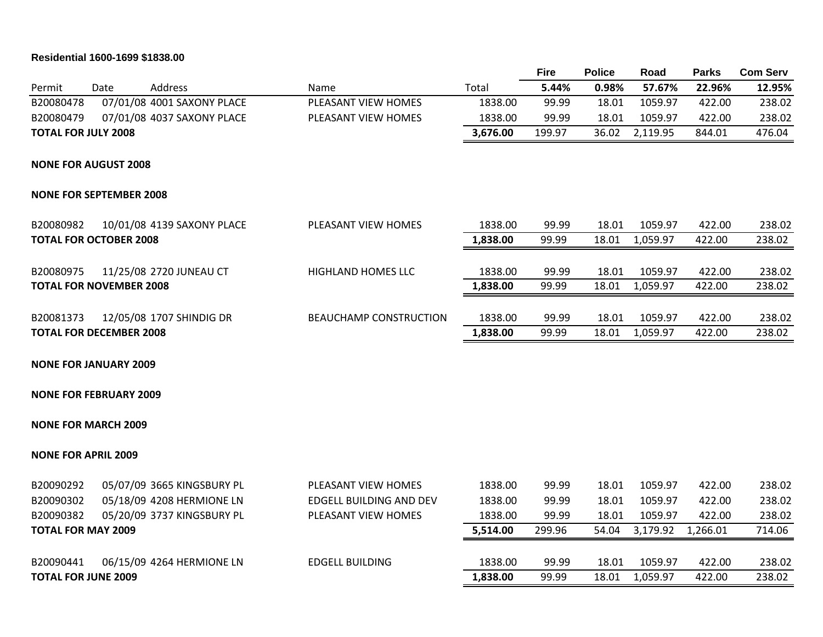# **Residential 1600-1699 \$1838.00**

|                                |      |                            |                                |          | <b>Fire</b> | <b>Police</b> | Road     | <b>Parks</b> | <b>Com Serv</b> |
|--------------------------------|------|----------------------------|--------------------------------|----------|-------------|---------------|----------|--------------|-----------------|
| Permit                         | Date | Address                    | Name                           | Total    | 5.44%       | 0.98%         | 57.67%   | 22.96%       | 12.95%          |
| B20080478                      |      | 07/01/08 4001 SAXONY PLACE | PLEASANT VIEW HOMES            | 1838.00  | 99.99       | 18.01         | 1059.97  | 422.00       | 238.02          |
| B20080479                      |      | 07/01/08 4037 SAXONY PLACE | PLEASANT VIEW HOMES            | 1838.00  | 99.99       | 18.01         | 1059.97  | 422.00       | 238.02          |
| <b>TOTAL FOR JULY 2008</b>     |      |                            |                                | 3,676.00 | 199.97      | 36.02         | 2,119.95 | 844.01       | 476.04          |
| <b>NONE FOR AUGUST 2008</b>    |      |                            |                                |          |             |               |          |              |                 |
| <b>NONE FOR SEPTEMBER 2008</b> |      |                            |                                |          |             |               |          |              |                 |
| B20080982                      |      | 10/01/08 4139 SAXONY PLACE | PLEASANT VIEW HOMES            | 1838.00  | 99.99       | 18.01         | 1059.97  | 422.00       | 238.02          |
| <b>TOTAL FOR OCTOBER 2008</b>  |      |                            |                                | 1,838.00 | 99.99       | 18.01         | 1,059.97 | 422.00       | 238.02          |
| B20080975                      |      | 11/25/08 2720 JUNEAU CT    | <b>HIGHLAND HOMES LLC</b>      | 1838.00  | 99.99       | 18.01         | 1059.97  | 422.00       | 238.02          |
| <b>TOTAL FOR NOVEMBER 2008</b> |      |                            |                                | 1,838.00 | 99.99       | 18.01         | 1,059.97 | 422.00       | 238.02          |
| B20081373                      |      | 12/05/08 1707 SHINDIG DR   | <b>BEAUCHAMP CONSTRUCTION</b>  | 1838.00  | 99.99       | 18.01         | 1059.97  | 422.00       | 238.02          |
| <b>TOTAL FOR DECEMBER 2008</b> |      |                            |                                | 1,838.00 | 99.99       | 18.01         | 1,059.97 | 422.00       | 238.02          |
| <b>NONE FOR JANUARY 2009</b>   |      |                            |                                |          |             |               |          |              |                 |
| <b>NONE FOR FEBRUARY 2009</b>  |      |                            |                                |          |             |               |          |              |                 |
| <b>NONE FOR MARCH 2009</b>     |      |                            |                                |          |             |               |          |              |                 |
| <b>NONE FOR APRIL 2009</b>     |      |                            |                                |          |             |               |          |              |                 |
| B20090292                      |      | 05/07/09 3665 KINGSBURY PL | PLEASANT VIEW HOMES            | 1838.00  | 99.99       | 18.01         | 1059.97  | 422.00       | 238.02          |
| B20090302                      |      | 05/18/09 4208 HERMIONE LN  | <b>EDGELL BUILDING AND DEV</b> | 1838.00  | 99.99       | 18.01         | 1059.97  | 422.00       | 238.02          |
| B20090382                      |      | 05/20/09 3737 KINGSBURY PL | PLEASANT VIEW HOMES            | 1838.00  | 99.99       | 18.01         | 1059.97  | 422.00       | 238.02          |
| <b>TOTAL FOR MAY 2009</b>      |      |                            |                                | 5,514.00 | 299.96      | 54.04         | 3,179.92 | 1,266.01     | 714.06          |
| B20090441                      |      | 06/15/09 4264 HERMIONE LN  | <b>EDGELL BUILDING</b>         | 1838.00  | 99.99       | 18.01         | 1059.97  | 422.00       | 238.02          |
| <b>TOTAL FOR JUNE 2009</b>     |      |                            |                                | 1,838.00 | 99.99       | 18.01         | 1,059.97 | 422.00       | 238.02          |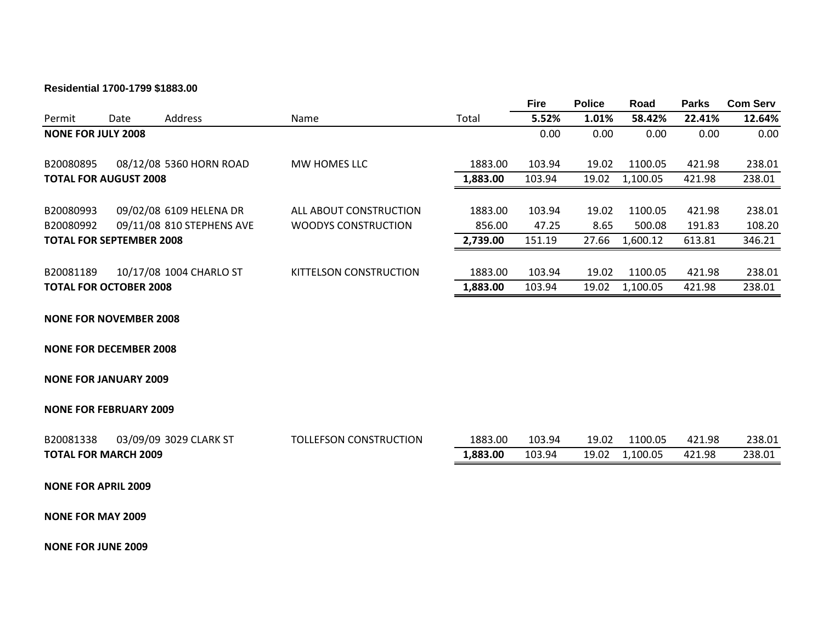#### **Residential 1700-1799 \$1883.00**

|                                 |      |                           |                               |          | <b>Fire</b> | <b>Police</b> | Road     | <b>Parks</b> | <b>Com Serv</b> |
|---------------------------------|------|---------------------------|-------------------------------|----------|-------------|---------------|----------|--------------|-----------------|
| Permit                          | Date | Address                   | <b>Name</b>                   | Total    | 5.52%       | 1.01%         | 58.42%   | 22.41%       | 12.64%          |
| <b>NONE FOR JULY 2008</b>       |      |                           |                               |          | 0.00        | 0.00          | 0.00     | 0.00         | 0.00            |
| B20080895                       |      | 08/12/08 5360 HORN ROAD   | MW HOMES LLC                  | 1883.00  | 103.94      | 19.02         | 1100.05  | 421.98       | 238.01          |
| <b>TOTAL FOR AUGUST 2008</b>    |      |                           |                               | 1,883.00 | 103.94      | 19.02         | 1,100.05 | 421.98       | 238.01          |
|                                 |      |                           |                               |          |             |               |          |              |                 |
| B20080993                       |      | 09/02/08 6109 HELENA DR   | ALL ABOUT CONSTRUCTION        | 1883.00  | 103.94      | 19.02         | 1100.05  | 421.98       | 238.01          |
| B20080992                       |      | 09/11/08 810 STEPHENS AVE | WOODYS CONSTRUCTION           | 856.00   | 47.25       | 8.65          | 500.08   | 191.83       | 108.20          |
| <b>TOTAL FOR SEPTEMBER 2008</b> |      |                           |                               | 2,739.00 | 151.19      | 27.66         | 1,600.12 | 613.81       | 346.21          |
|                                 |      |                           |                               |          |             |               |          |              |                 |
| B20081189                       |      | 10/17/08 1004 CHARLO ST   | <b>KITTELSON CONSTRUCTION</b> | 1883.00  | 103.94      | 19.02         | 1100.05  | 421.98       | 238.01          |
| <b>TOTAL FOR OCTOBER 2008</b>   |      |                           |                               | 1,883.00 | 103.94      | 19.02         | 1,100.05 | 421.98       | 238.01          |
|                                 |      |                           |                               |          |             |               |          |              |                 |

**NONE FOR NOVEMBER 2008**

**NONE FOR DECEMBER 2008**

**NONE FOR JANUARY 2009**

## **NONE FOR FEBRUARY 2009**

| B20081338                   | 03/09/09 3029 CLARK ST | TOLLEFSON CONSTRUCTION | 1883.00  | 103.94 | 19.02 | 1100.05  | 421.98 | 238.01 |
|-----------------------------|------------------------|------------------------|----------|--------|-------|----------|--------|--------|
| <b>TOTAL FOR MARCH 2009</b> |                        |                        | 1,883.00 | 103.94 | 19.02 | 1,100.05 | 421.98 | 238.01 |

**NONE FOR APRIL 2009**

**NONE FOR MAY 2009**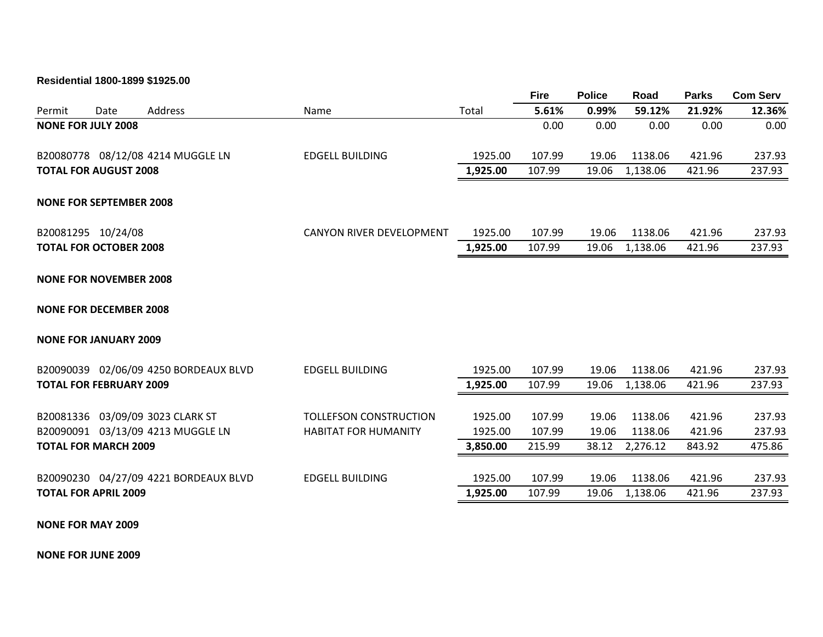**Residential 1800-1899 \$1925.00**

|        |                                |                                       |                               |          | <b>Fire</b> | <b>Police</b> | Road     | <b>Parks</b> | <b>Com Serv</b> |
|--------|--------------------------------|---------------------------------------|-------------------------------|----------|-------------|---------------|----------|--------------|-----------------|
| Permit | Date                           | <b>Address</b>                        | Name                          | Total    | 5.61%       | 0.99%         | 59.12%   | 21.92%       | 12.36%          |
|        | <b>NONE FOR JULY 2008</b>      |                                       |                               |          | 0.00        | 0.00          | 0.00     | 0.00         | 0.00            |
|        |                                | B20080778 08/12/08 4214 MUGGLE LN     | <b>EDGELL BUILDING</b>        | 1925.00  | 107.99      | 19.06         | 1138.06  | 421.96       | 237.93          |
|        | <b>TOTAL FOR AUGUST 2008</b>   |                                       |                               | 1,925.00 | 107.99      | 19.06         | 1,138.06 | 421.96       | 237.93          |
|        | <b>NONE FOR SEPTEMBER 2008</b> |                                       |                               |          |             |               |          |              |                 |
|        | B20081295 10/24/08             |                                       | CANYON RIVER DEVELOPMENT      | 1925.00  | 107.99      | 19.06         | 1138.06  | 421.96       | 237.93          |
|        | <b>TOTAL FOR OCTOBER 2008</b>  |                                       |                               | 1,925.00 | 107.99      | 19.06         | 1,138.06 | 421.96       | 237.93          |
|        | <b>NONE FOR NOVEMBER 2008</b>  |                                       |                               |          |             |               |          |              |                 |
|        | <b>NONE FOR DECEMBER 2008</b>  |                                       |                               |          |             |               |          |              |                 |
|        | <b>NONE FOR JANUARY 2009</b>   |                                       |                               |          |             |               |          |              |                 |
|        |                                | B20090039 02/06/09 4250 BORDEAUX BLVD | <b>EDGELL BUILDING</b>        | 1925.00  | 107.99      | 19.06         | 1138.06  | 421.96       | 237.93          |
|        | <b>TOTAL FOR FEBRUARY 2009</b> |                                       |                               | 1,925.00 | 107.99      | 19.06         | 1,138.06 | 421.96       | 237.93          |
|        |                                | B20081336 03/09/09 3023 CLARK ST      | <b>TOLLEFSON CONSTRUCTION</b> | 1925.00  | 107.99      | 19.06         | 1138.06  | 421.96       | 237.93          |
|        |                                | B20090091 03/13/09 4213 MUGGLE LN     | <b>HABITAT FOR HUMANITY</b>   | 1925.00  | 107.99      | 19.06         | 1138.06  | 421.96       | 237.93          |
|        | <b>TOTAL FOR MARCH 2009</b>    |                                       |                               | 3,850.00 | 215.99      | 38.12         | 2,276.12 | 843.92       | 475.86          |
|        |                                | B20090230 04/27/09 4221 BORDEAUX BLVD | <b>EDGELL BUILDING</b>        | 1925.00  | 107.99      | 19.06         | 1138.06  | 421.96       | 237.93          |
|        | <b>TOTAL FOR APRIL 2009</b>    |                                       |                               | 1,925.00 | 107.99      | 19.06         | 1,138.06 | 421.96       | 237.93          |
|        |                                |                                       |                               |          |             |               |          |              |                 |

**NONE FOR MAY 2009**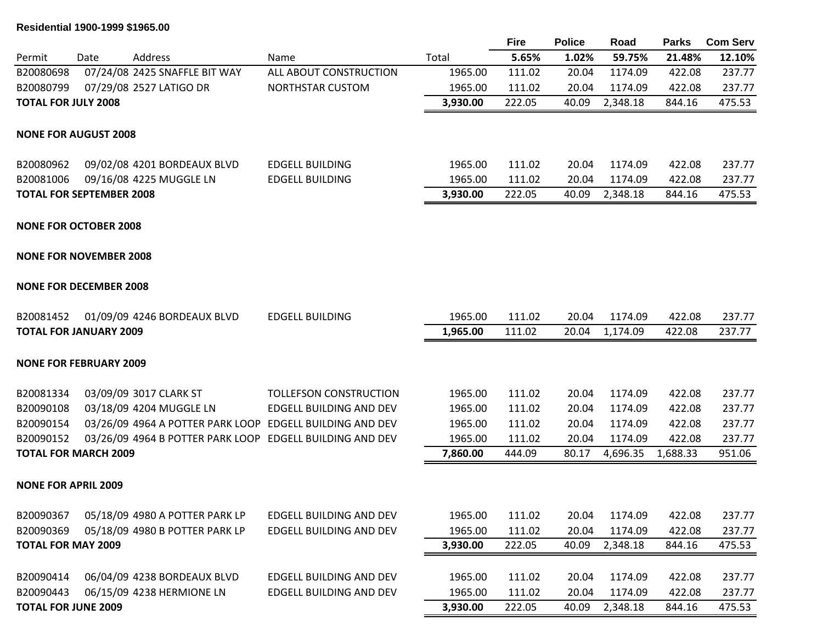# **Residential 1900-1999 \$1965.00**

|                            |                                 |                                                          |                         |          | <b>Fire</b> | <b>Police</b> | Road     | <b>Parks</b> | <b>Com Serv</b> |
|----------------------------|---------------------------------|----------------------------------------------------------|-------------------------|----------|-------------|---------------|----------|--------------|-----------------|
| Permit                     | Date                            | Address                                                  | Name                    | Total    | 5.65%       | 1.02%         | 59.75%   | 21.48%       | 12.10%          |
| B20080698                  |                                 | 07/24/08 2425 SNAFFLE BIT WAY                            | ALL ABOUT CONSTRUCTION  | 1965.00  | 111.02      | 20.04         | 1174.09  | 422.08       | 237.77          |
| B20080799                  |                                 | 07/29/08 2527 LATIGO DR                                  | NORTHSTAR CUSTOM        | 1965.00  | 111.02      | 20.04         | 1174.09  | 422.08       | 237.77          |
| <b>TOTAL FOR JULY 2008</b> |                                 |                                                          |                         | 3,930.00 | 222.05      | 40.09         | 2,348.18 | 844.16       | 475.53          |
|                            | <b>NONE FOR AUGUST 2008</b>     |                                                          |                         |          |             |               |          |              |                 |
| B20080962                  |                                 | 09/02/08 4201 BORDEAUX BLVD                              | <b>EDGELL BUILDING</b>  | 1965.00  | 111.02      | 20.04         | 1174.09  | 422.08       | 237.77          |
| B20081006                  |                                 | 09/16/08 4225 MUGGLE LN                                  | <b>EDGELL BUILDING</b>  | 1965.00  | 111.02      | 20.04         | 1174.09  | 422.08       | 237.77          |
|                            | <b>TOTAL FOR SEPTEMBER 2008</b> |                                                          |                         | 3,930.00 | 222.05      | 40.09         | 2,348.18 | 844.16       | 475.53          |
|                            | <b>NONE FOR OCTOBER 2008</b>    |                                                          |                         |          |             |               |          |              |                 |
|                            | <b>NONE FOR NOVEMBER 2008</b>   |                                                          |                         |          |             |               |          |              |                 |
|                            | <b>NONE FOR DECEMBER 2008</b>   |                                                          |                         |          |             |               |          |              |                 |
| B20081452                  |                                 | 01/09/09 4246 BORDEAUX BLVD                              | <b>EDGELL BUILDING</b>  | 1965.00  | 111.02      | 20.04         | 1174.09  | 422.08       | 237.77          |
|                            | <b>TOTAL FOR JANUARY 2009</b>   |                                                          |                         | 1,965.00 | 111.02      | 20.04         | 1,174.09 | 422.08       | 237.77          |
|                            | <b>NONE FOR FEBRUARY 2009</b>   |                                                          |                         |          |             |               |          |              |                 |
| B20081334                  |                                 | 03/09/09 3017 CLARK ST                                   | TOLLEFSON CONSTRUCTION  | 1965.00  | 111.02      | 20.04         | 1174.09  | 422.08       | 237.77          |
| B20090108                  |                                 | 03/18/09 4204 MUGGLE LN                                  | EDGELL BUILDING AND DEV | 1965.00  | 111.02      | 20.04         | 1174.09  | 422.08       | 237.77          |
| B20090154                  |                                 | 03/26/09 4964 A POTTER PARK LOOP EDGELL BUILDING AND DEV |                         | 1965.00  | 111.02      | 20.04         | 1174.09  | 422.08       | 237.77          |
| B20090152                  |                                 | 03/26/09 4964 B POTTER PARK LOOP EDGELL BUILDING AND DEV |                         | 1965.00  | 111.02      | 20.04         | 1174.09  | 422.08       | 237.77          |
|                            | <b>TOTAL FOR MARCH 2009</b>     |                                                          |                         | 7,860.00 | 444.09      | 80.17         | 4,696.35 | 1,688.33     | 951.06          |
|                            | <b>NONE FOR APRIL 2009</b>      |                                                          |                         |          |             |               |          |              |                 |
| B20090367                  |                                 | 05/18/09 4980 A POTTER PARK LP                           | EDGELL BUILDING AND DEV | 1965.00  | 111.02      | 20.04         | 1174.09  | 422.08       | 237.77          |
| B20090369                  |                                 | 05/18/09 4980 B POTTER PARK LP                           | EDGELL BUILDING AND DEV | 1965.00  | 111.02      | 20.04         | 1174.09  | 422.08       | 237.77          |
|                            | <b>TOTAL FOR MAY 2009</b>       |                                                          |                         | 3,930.00 | 222.05      | 40.09         | 2,348.18 | 844.16       | 475.53          |
| B20090414                  |                                 | 06/04/09 4238 BORDEAUX BLVD                              | EDGELL BUILDING AND DEV | 1965.00  | 111.02      | 20.04         | 1174.09  | 422.08       | 237.77          |
| B20090443                  |                                 | 06/15/09 4238 HERMIONE LN                                | EDGELL BUILDING AND DEV | 1965.00  | 111.02      | 20.04         | 1174.09  | 422.08       | 237.77          |
|                            | <b>TOTAL FOR JUNE 2009</b>      |                                                          |                         | 3,930.00 | 222.05      | 40.09         | 2,348.18 | 844.16       | 475.53          |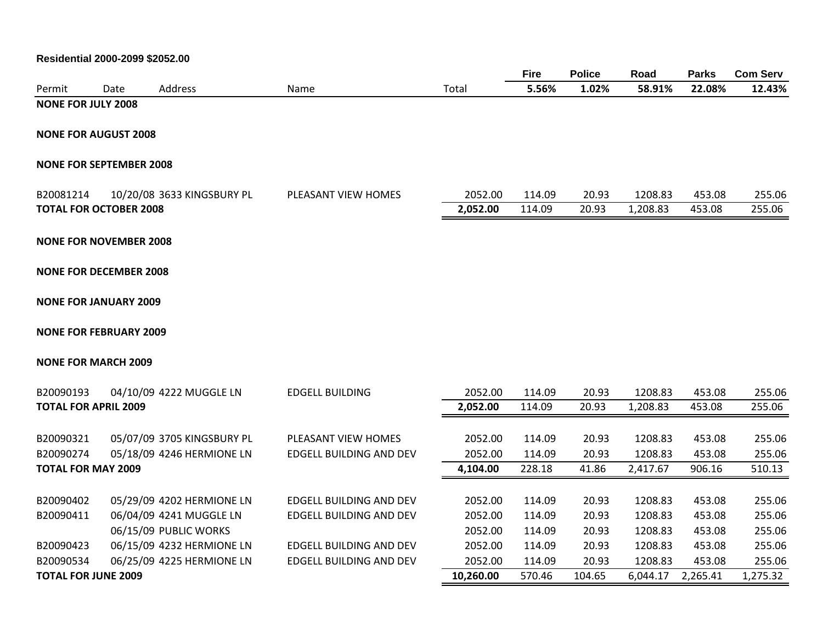|                                |      |                            |                                |           | <b>Fire</b> | <b>Police</b> | Road     | <b>Parks</b> | <b>Com Serv</b> |
|--------------------------------|------|----------------------------|--------------------------------|-----------|-------------|---------------|----------|--------------|-----------------|
| Permit                         | Date | Address                    | Name                           | Total     | 5.56%       | 1.02%         | 58.91%   | 22.08%       | 12.43%          |
| <b>NONE FOR JULY 2008</b>      |      |                            |                                |           |             |               |          |              |                 |
| <b>NONE FOR AUGUST 2008</b>    |      |                            |                                |           |             |               |          |              |                 |
|                                |      |                            |                                |           |             |               |          |              |                 |
| <b>NONE FOR SEPTEMBER 2008</b> |      |                            |                                |           |             |               |          |              |                 |
| B20081214                      |      | 10/20/08 3633 KINGSBURY PL | PLEASANT VIEW HOMES            | 2052.00   | 114.09      | 20.93         | 1208.83  | 453.08       | 255.06          |
| <b>TOTAL FOR OCTOBER 2008</b>  |      |                            |                                | 2,052.00  | 114.09      | 20.93         | 1,208.83 | 453.08       | 255.06          |
| <b>NONE FOR NOVEMBER 2008</b>  |      |                            |                                |           |             |               |          |              |                 |
| <b>NONE FOR DECEMBER 2008</b>  |      |                            |                                |           |             |               |          |              |                 |
|                                |      |                            |                                |           |             |               |          |              |                 |
| <b>NONE FOR JANUARY 2009</b>   |      |                            |                                |           |             |               |          |              |                 |
| <b>NONE FOR FEBRUARY 2009</b>  |      |                            |                                |           |             |               |          |              |                 |
| <b>NONE FOR MARCH 2009</b>     |      |                            |                                |           |             |               |          |              |                 |
| B20090193                      |      | 04/10/09 4222 MUGGLE LN    | <b>EDGELL BUILDING</b>         | 2052.00   | 114.09      | 20.93         | 1208.83  | 453.08       | 255.06          |
| <b>TOTAL FOR APRIL 2009</b>    |      |                            |                                | 2,052.00  | 114.09      | 20.93         | 1,208.83 | 453.08       | 255.06          |
| B20090321                      |      | 05/07/09 3705 KINGSBURY PL | PLEASANT VIEW HOMES            | 2052.00   | 114.09      | 20.93         | 1208.83  | 453.08       | 255.06          |
| B20090274                      |      | 05/18/09 4246 HERMIONE LN  | EDGELL BUILDING AND DEV        | 2052.00   | 114.09      | 20.93         | 1208.83  | 453.08       | 255.06          |
| <b>TOTAL FOR MAY 2009</b>      |      |                            |                                | 4,104.00  | 228.18      | 41.86         | 2,417.67 | 906.16       | 510.13          |
|                                |      |                            |                                |           |             |               |          |              |                 |
| B20090402                      |      | 05/29/09 4202 HERMIONE LN  | <b>EDGELL BUILDING AND DEV</b> | 2052.00   | 114.09      | 20.93         | 1208.83  | 453.08       | 255.06          |
| B20090411                      |      | 06/04/09 4241 MUGGLE LN    | <b>EDGELL BUILDING AND DEV</b> | 2052.00   | 114.09      | 20.93         | 1208.83  | 453.08       | 255.06          |
|                                |      | 06/15/09 PUBLIC WORKS      |                                | 2052.00   | 114.09      | 20.93         | 1208.83  | 453.08       | 255.06          |
| B20090423                      |      | 06/15/09 4232 HERMIONE LN  | EDGELL BUILDING AND DEV        | 2052.00   | 114.09      | 20.93         | 1208.83  | 453.08       | 255.06          |
| B20090534                      |      | 06/25/09 4225 HERMIONE LN  | <b>EDGELL BUILDING AND DEV</b> | 2052.00   | 114.09      | 20.93         | 1208.83  | 453.08       | 255.06          |
| <b>TOTAL FOR JUNE 2009</b>     |      |                            |                                | 10,260.00 | 570.46      | 104.65        | 6,044.17 | 2,265.41     | 1,275.32        |

# **Residential 2000-2099 \$2052.00**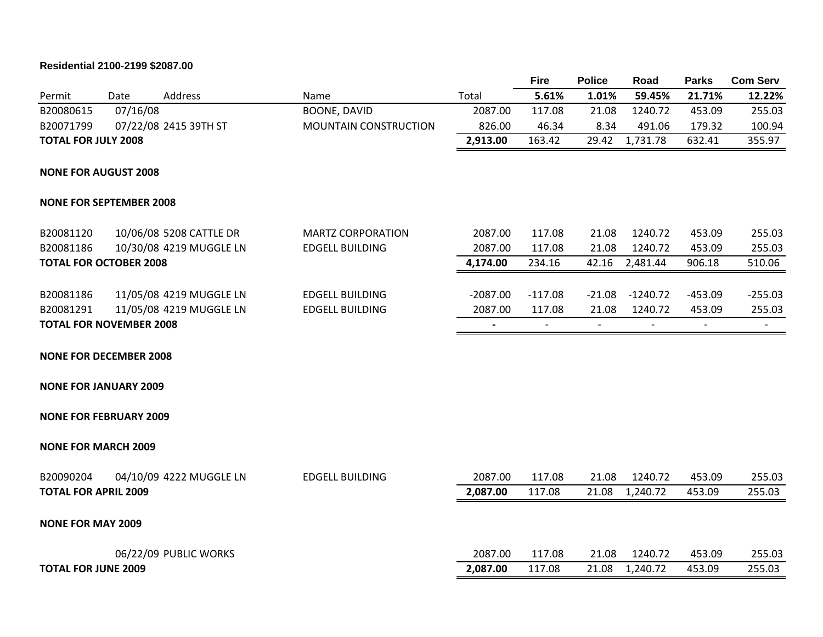# **Residential 2100-2199 \$2087.00**

|                                |          |                         |                          |            | <b>Fire</b>              | <b>Police</b>  | Road       | <b>Parks</b>             | <b>Com Serv</b> |
|--------------------------------|----------|-------------------------|--------------------------|------------|--------------------------|----------------|------------|--------------------------|-----------------|
| Permit                         | Date     | Address                 | Name                     | Total      | 5.61%                    | 1.01%          | 59.45%     | 21.71%                   | 12.22%          |
| B20080615                      | 07/16/08 |                         | <b>BOONE, DAVID</b>      | 2087.00    | 117.08                   | 21.08          | 1240.72    | 453.09                   | 255.03          |
| B20071799                      |          | 07/22/08 2415 39TH ST   | MOUNTAIN CONSTRUCTION    | 826.00     | 46.34                    | 8.34           | 491.06     | 179.32                   | 100.94          |
| <b>TOTAL FOR JULY 2008</b>     |          |                         |                          | 2,913.00   | 163.42                   | 29.42          | 1,731.78   | 632.41                   | 355.97          |
| <b>NONE FOR AUGUST 2008</b>    |          |                         |                          |            |                          |                |            |                          |                 |
| <b>NONE FOR SEPTEMBER 2008</b> |          |                         |                          |            |                          |                |            |                          |                 |
| B20081120                      |          | 10/06/08 5208 CATTLE DR | <b>MARTZ CORPORATION</b> | 2087.00    | 117.08                   | 21.08          | 1240.72    | 453.09                   | 255.03          |
| B20081186                      |          | 10/30/08 4219 MUGGLE LN | <b>EDGELL BUILDING</b>   | 2087.00    | 117.08                   | 21.08          | 1240.72    | 453.09                   | 255.03          |
| <b>TOTAL FOR OCTOBER 2008</b>  |          |                         |                          | 4,174.00   | 234.16                   | 42.16          | 2,481.44   | 906.18                   | 510.06          |
| B20081186                      |          | 11/05/08 4219 MUGGLE LN | <b>EDGELL BUILDING</b>   | $-2087.00$ | $-117.08$                | $-21.08$       | $-1240.72$ | $-453.09$                | $-255.03$       |
| B20081291                      |          | 11/05/08 4219 MUGGLE LN | <b>EDGELL BUILDING</b>   | 2087.00    | 117.08                   | 21.08          | 1240.72    | 453.09                   | 255.03          |
| <b>TOTAL FOR NOVEMBER 2008</b> |          |                         |                          |            | $\overline{\phantom{a}}$ | $\overline{a}$ |            | $\overline{\phantom{a}}$ |                 |
| <b>NONE FOR DECEMBER 2008</b>  |          |                         |                          |            |                          |                |            |                          |                 |
| <b>NONE FOR JANUARY 2009</b>   |          |                         |                          |            |                          |                |            |                          |                 |
| <b>NONE FOR FEBRUARY 2009</b>  |          |                         |                          |            |                          |                |            |                          |                 |
| <b>NONE FOR MARCH 2009</b>     |          |                         |                          |            |                          |                |            |                          |                 |
| B20090204                      |          | 04/10/09 4222 MUGGLE LN | <b>EDGELL BUILDING</b>   | 2087.00    | 117.08                   | 21.08          | 1240.72    | 453.09                   | 255.03          |
| <b>TOTAL FOR APRIL 2009</b>    |          |                         |                          | 2,087.00   | 117.08                   | 21.08          | 1,240.72   | 453.09                   | 255.03          |
| <b>NONE FOR MAY 2009</b>       |          |                         |                          |            |                          |                |            |                          |                 |
|                                |          | 06/22/09 PUBLIC WORKS   |                          | 2087.00    | 117.08                   | 21.08          | 1240.72    | 453.09                   | 255.03          |
| <b>TOTAL FOR JUNE 2009</b>     |          |                         |                          | 2,087.00   | 117.08                   | 21.08          | 1,240.72   | 453.09                   | 255.03          |
|                                |          |                         |                          |            |                          |                |            |                          |                 |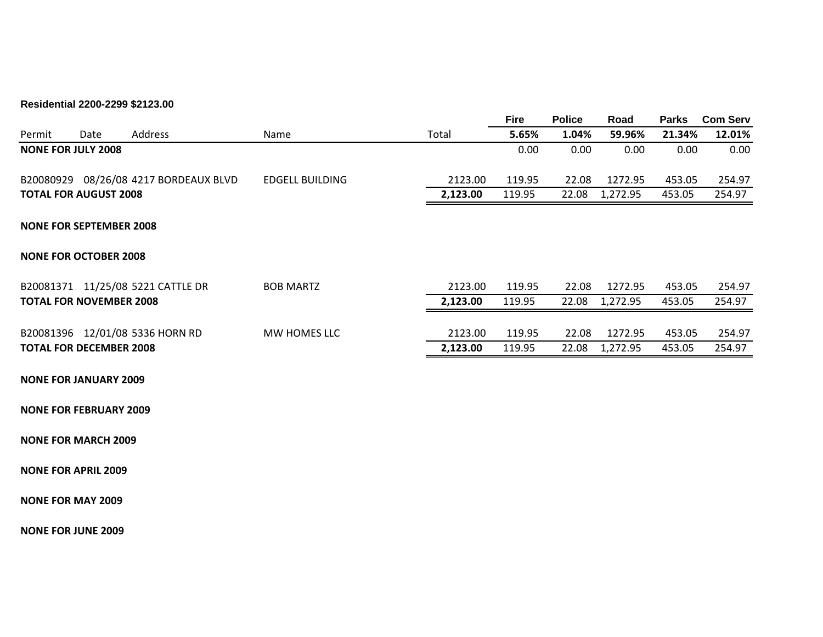# **Residential 2200-2299 \$2123.00**

|        |                                |                                       |                        |          | <b>Fire</b> | <b>Police</b> | Road     | <b>Parks</b> | <b>Com Serv</b> |
|--------|--------------------------------|---------------------------------------|------------------------|----------|-------------|---------------|----------|--------------|-----------------|
| Permit | Date                           | Address                               | Name                   | Total    | 5.65%       | 1.04%         | 59.96%   | 21.34%       | 12.01%          |
|        | <b>NONE FOR JULY 2008</b>      |                                       |                        |          | 0.00        | 0.00          | 0.00     | 0.00         | 0.00            |
|        |                                | B20080929 08/26/08 4217 BORDEAUX BLVD | <b>EDGELL BUILDING</b> | 2123.00  | 119.95      | 22.08         | 1272.95  | 453.05       | 254.97          |
|        | <b>TOTAL FOR AUGUST 2008</b>   |                                       |                        | 2,123.00 | 119.95      | 22.08         | 1,272.95 | 453.05       | 254.97          |
|        | <b>NONE FOR SEPTEMBER 2008</b> |                                       |                        |          |             |               |          |              |                 |
|        | <b>NONE FOR OCTOBER 2008</b>   |                                       |                        |          |             |               |          |              |                 |
|        |                                | B20081371 11/25/08 5221 CATTLE DR     | <b>BOB MARTZ</b>       | 2123.00  | 119.95      | 22.08         | 1272.95  | 453.05       | 254.97          |
|        | <b>TOTAL FOR NOVEMBER 2008</b> |                                       |                        | 2,123.00 | 119.95      | 22.08         | 1,272.95 | 453.05       | 254.97          |
|        |                                | B20081396 12/01/08 5336 HORN RD       | MW HOMES LLC           | 2123.00  | 119.95      | 22.08         | 1272.95  | 453.05       | 254.97          |
|        | <b>TOTAL FOR DECEMBER 2008</b> |                                       |                        | 2,123.00 | 119.95      | 22.08         | 1,272.95 | 453.05       | 254.97          |
|        | <b>NONE FOR JANUARY 2009</b>   |                                       |                        |          |             |               |          |              |                 |

**NONE FOR FEBRUARY 2009**

**NONE FOR MARCH 2009**

**NONE FOR APRIL 2009**

**NONE FOR MAY 2009**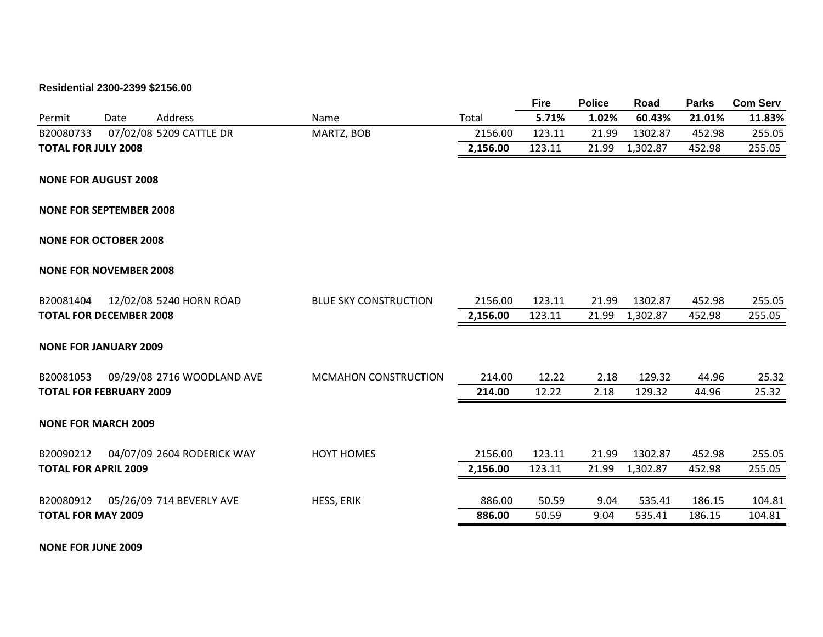# **Residential 2300-2399 \$2156.00**

|                                |      |                            |                              |          | <b>Fire</b> | <b>Police</b> | Road     | <b>Parks</b> | <b>Com Serv</b> |
|--------------------------------|------|----------------------------|------------------------------|----------|-------------|---------------|----------|--------------|-----------------|
| Permit                         | Date | Address                    | Name                         | Total    | 5.71%       | 1.02%         | 60.43%   | 21.01%       | 11.83%          |
| B20080733                      |      | 07/02/08 5209 CATTLE DR    | MARTZ, BOB                   | 2156.00  | 123.11      | 21.99         | 1302.87  | 452.98       | 255.05          |
| <b>TOTAL FOR JULY 2008</b>     |      |                            |                              | 2,156.00 | 123.11      | 21.99         | 1,302.87 | 452.98       | 255.05          |
| <b>NONE FOR AUGUST 2008</b>    |      |                            |                              |          |             |               |          |              |                 |
| <b>NONE FOR SEPTEMBER 2008</b> |      |                            |                              |          |             |               |          |              |                 |
| <b>NONE FOR OCTOBER 2008</b>   |      |                            |                              |          |             |               |          |              |                 |
| <b>NONE FOR NOVEMBER 2008</b>  |      |                            |                              |          |             |               |          |              |                 |
| B20081404                      |      | 12/02/08 5240 HORN ROAD    | <b>BLUE SKY CONSTRUCTION</b> | 2156.00  | 123.11      | 21.99         | 1302.87  | 452.98       | 255.05          |
| <b>TOTAL FOR DECEMBER 2008</b> |      |                            |                              | 2,156.00 | 123.11      | 21.99         | 1,302.87 | 452.98       | 255.05          |
| <b>NONE FOR JANUARY 2009</b>   |      |                            |                              |          |             |               |          |              |                 |
| B20081053                      |      | 09/29/08 2716 WOODLAND AVE | <b>MCMAHON CONSTRUCTION</b>  | 214.00   | 12.22       | 2.18          | 129.32   | 44.96        | 25.32           |
| <b>TOTAL FOR FEBRUARY 2009</b> |      |                            |                              | 214.00   | 12.22       | 2.18          | 129.32   | 44.96        | 25.32           |
| <b>NONE FOR MARCH 2009</b>     |      |                            |                              |          |             |               |          |              |                 |
| B20090212                      |      | 04/07/09 2604 RODERICK WAY | <b>HOYT HOMES</b>            | 2156.00  | 123.11      | 21.99         | 1302.87  | 452.98       | 255.05          |
| <b>TOTAL FOR APRIL 2009</b>    |      |                            |                              | 2,156.00 | 123.11      | 21.99         | 1,302.87 | 452.98       | 255.05          |
| B20080912                      |      | 05/26/09 714 BEVERLY AVE   | HESS, ERIK                   | 886.00   | 50.59       | 9.04          | 535.41   | 186.15       | 104.81          |
| <b>TOTAL FOR MAY 2009</b>      |      |                            |                              | 886.00   | 50.59       | 9.04          | 535.41   | 186.15       | 104.81          |
|                                |      |                            |                              |          |             |               |          |              |                 |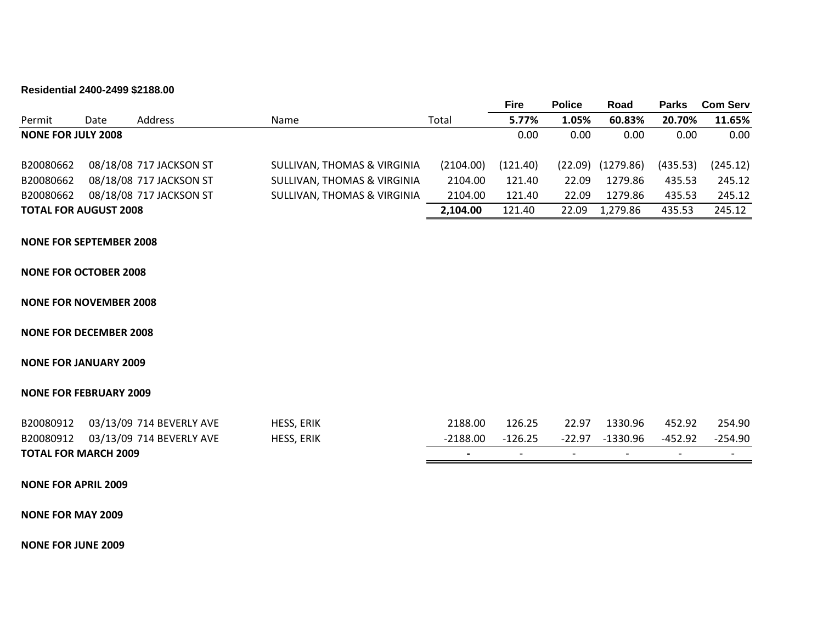### **Residential 2400-2499 \$2188.00**

|                              |      |                         |                                        |           | <b>Fire</b> | <b>Police</b> | Road      | <b>Parks</b> | <b>Com Serv</b> |
|------------------------------|------|-------------------------|----------------------------------------|-----------|-------------|---------------|-----------|--------------|-----------------|
| Permit                       | Date | Address                 | Name                                   | Total     | 5.77%       | 1.05%         | 60.83%    | 20.70%       | 11.65%          |
| <b>NONE FOR JULY 2008</b>    |      |                         |                                        |           | 0.00        | $0.00\,$      | 0.00      | 0.00         | 0.00            |
|                              |      |                         |                                        |           |             |               |           |              |                 |
| B20080662                    |      | 08/18/08 717 JACKSON ST | SULLIVAN, THOMAS & VIRGINIA            | (2104.00) | (121.40)    | (22.09)       | (1279.86) | (435.53)     | (245.12)        |
| B20080662                    |      | 08/18/08 717 JACKSON ST | <b>SULLIVAN, THOMAS &amp; VIRGINIA</b> | 2104.00   | 121.40      | 22.09         | 1279.86   | 435.53       | 245.12          |
| B20080662                    |      | 08/18/08 717 JACKSON ST | SULLIVAN, THOMAS & VIRGINIA            | 2104.00   | 121.40      | 22.09         | 1279.86   | 435.53       | 245.12          |
| <b>TOTAL FOR AUGUST 2008</b> |      |                         |                                        | 2,104.00  | 121.40      | 22.09         | 1,279.86  | 435.53       | 245.12          |

## **NONE FOR SEPTEMBER 2008**

### **NONE FOR OCTOBER 2008**

#### **NONE FOR NOVEMBER 2008**

#### **NONE FOR DECEMBER 2008**

## **NONE FOR JANUARY 2009**

#### **NONE FOR FEBRUARY 2009**

|                             | B20080912 03/13/09 714 BEVERLY AVE | <b>HESS, ERIK</b> | 2188.00    | 126.25  | 22.97 | 1330.96         | 452.92                   | 254.90  |
|-----------------------------|------------------------------------|-------------------|------------|---------|-------|-----------------|--------------------------|---------|
|                             | B20080912 03/13/09 714 BEVERLY AVE | <b>HESS, ERIK</b> | $-2188.00$ | -126.25 |       | -22.97 -1330.96 | -452.92                  | -254.90 |
| <b>TOTAL FOR MARCH 2009</b> |                                    |                   |            |         |       |                 | $\overline{\phantom{0}}$ |         |

#### **NONE FOR APRIL 2009**

#### **NONE FOR MAY 2009**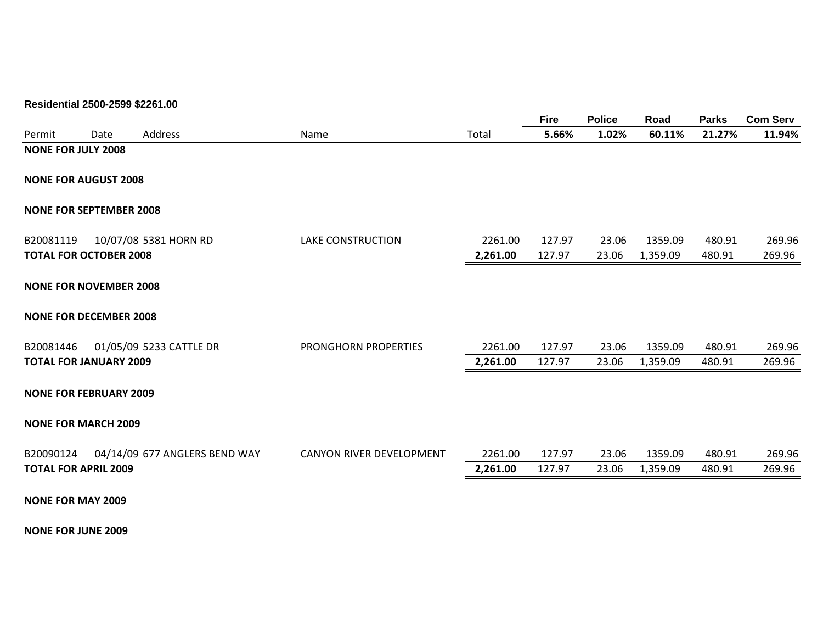# **Residential 2500-2599 \$2261.00**

|           |                                |                               |                             |          | <b>Fire</b> | <b>Police</b> | Road     | <b>Parks</b> | <b>Com Serv</b> |
|-----------|--------------------------------|-------------------------------|-----------------------------|----------|-------------|---------------|----------|--------------|-----------------|
| Permit    | Date                           | Address                       | Name                        | Total    | 5.66%       | 1.02%         | 60.11%   | 21.27%       | 11.94%          |
|           | <b>NONE FOR JULY 2008</b>      |                               |                             |          |             |               |          |              |                 |
|           | <b>NONE FOR AUGUST 2008</b>    |                               |                             |          |             |               |          |              |                 |
|           | <b>NONE FOR SEPTEMBER 2008</b> |                               |                             |          |             |               |          |              |                 |
| B20081119 |                                | 10/07/08 5381 HORN RD         | <b>LAKE CONSTRUCTION</b>    | 2261.00  | 127.97      | 23.06         | 1359.09  | 480.91       | 269.96          |
|           | <b>TOTAL FOR OCTOBER 2008</b>  |                               |                             | 2,261.00 | 127.97      | 23.06         | 1,359.09 | 480.91       | 269.96          |
|           | <b>NONE FOR NOVEMBER 2008</b>  |                               |                             |          |             |               |          |              |                 |
|           | <b>NONE FOR DECEMBER 2008</b>  |                               |                             |          |             |               |          |              |                 |
| B20081446 |                                | 01/05/09 5233 CATTLE DR       | <b>PRONGHORN PROPERTIES</b> | 2261.00  | 127.97      | 23.06         | 1359.09  | 480.91       | 269.96          |
|           | <b>TOTAL FOR JANUARY 2009</b>  |                               |                             | 2,261.00 | 127.97      | 23.06         | 1,359.09 | 480.91       | 269.96          |
|           | <b>NONE FOR FEBRUARY 2009</b>  |                               |                             |          |             |               |          |              |                 |
|           | <b>NONE FOR MARCH 2009</b>     |                               |                             |          |             |               |          |              |                 |
| B20090124 |                                | 04/14/09 677 ANGLERS BEND WAY | CANYON RIVER DEVELOPMENT    | 2261.00  | 127.97      | 23.06         | 1359.09  | 480.91       | 269.96          |
|           | <b>TOTAL FOR APRIL 2009</b>    |                               |                             | 2,261.00 | 127.97      | 23.06         | 1,359.09 | 480.91       | 269.96          |
|           | <b>NONE FOR MAY 2009</b>       |                               |                             |          |             |               |          |              |                 |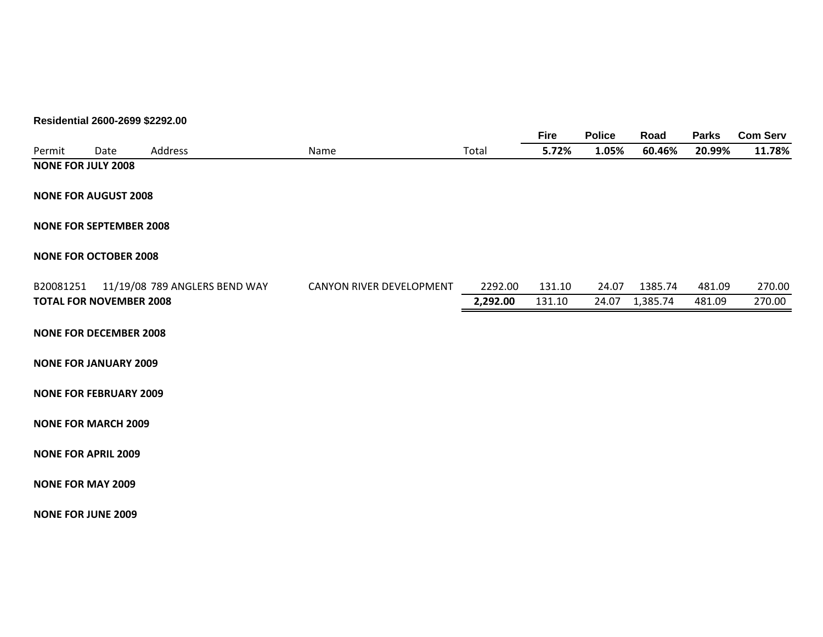# **Residential 2600-2699 \$2292.00**

|           |                                |                               |                          |          | <b>Fire</b> | <b>Police</b> | Road     | <b>Parks</b> | <b>Com Serv</b> |
|-----------|--------------------------------|-------------------------------|--------------------------|----------|-------------|---------------|----------|--------------|-----------------|
| Permit    | Date                           | Address                       | Name                     | Total    | 5.72%       | 1.05%         | 60.46%   | 20.99%       | 11.78%          |
|           | <b>NONE FOR JULY 2008</b>      |                               |                          |          |             |               |          |              |                 |
|           |                                |                               |                          |          |             |               |          |              |                 |
|           | <b>NONE FOR AUGUST 2008</b>    |                               |                          |          |             |               |          |              |                 |
|           |                                |                               |                          |          |             |               |          |              |                 |
|           | <b>NONE FOR SEPTEMBER 2008</b> |                               |                          |          |             |               |          |              |                 |
|           | <b>NONE FOR OCTOBER 2008</b>   |                               |                          |          |             |               |          |              |                 |
|           |                                |                               |                          |          |             |               |          |              |                 |
| B20081251 |                                | 11/19/08 789 ANGLERS BEND WAY | CANYON RIVER DEVELOPMENT | 2292.00  | 131.10      | 24.07         | 1385.74  | 481.09       | 270.00          |
|           | <b>TOTAL FOR NOVEMBER 2008</b> |                               |                          | 2,292.00 | 131.10      | 24.07         | 1,385.74 | 481.09       | 270.00          |
|           |                                |                               |                          |          |             |               |          |              |                 |
|           | <b>NONE FOR DECEMBER 2008</b>  |                               |                          |          |             |               |          |              |                 |
|           |                                |                               |                          |          |             |               |          |              |                 |
|           | <b>NONE FOR JANUARY 2009</b>   |                               |                          |          |             |               |          |              |                 |
|           | <b>NONE FOR FEBRUARY 2009</b>  |                               |                          |          |             |               |          |              |                 |
|           |                                |                               |                          |          |             |               |          |              |                 |
|           | <b>NONE FOR MARCH 2009</b>     |                               |                          |          |             |               |          |              |                 |
|           |                                |                               |                          |          |             |               |          |              |                 |
|           | <b>NONE FOR APRIL 2009</b>     |                               |                          |          |             |               |          |              |                 |
|           | <b>NONE FOR MAY 2009</b>       |                               |                          |          |             |               |          |              |                 |
|           |                                |                               |                          |          |             |               |          |              |                 |
|           | <b>NONE FOR JUNE 2009</b>      |                               |                          |          |             |               |          |              |                 |
|           |                                |                               |                          |          |             |               |          |              |                 |
|           |                                |                               |                          |          |             |               |          |              |                 |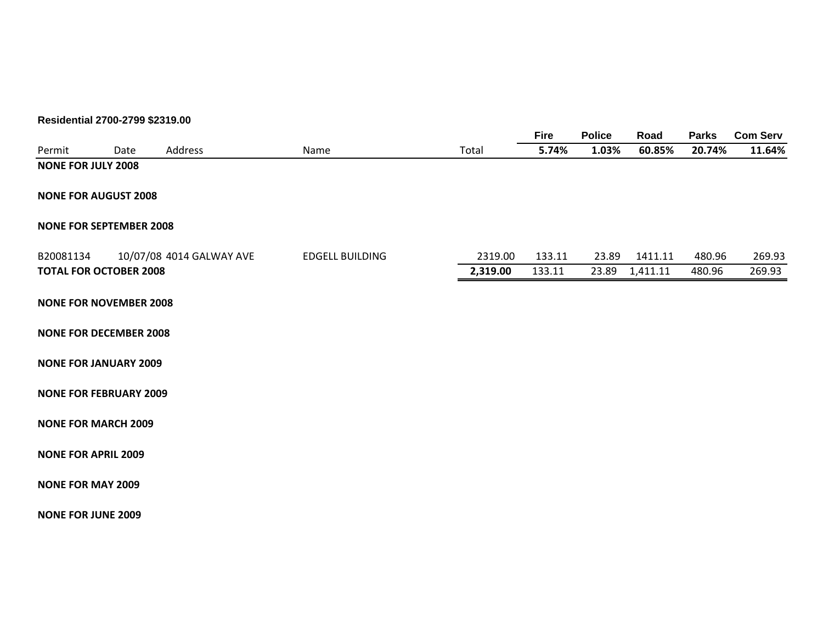# **Residential 2700-2799 \$2319.00**

|                                |      |                          |                        |          | <b>Fire</b> | <b>Police</b> | Road     | <b>Parks</b> | <b>Com Serv</b> |
|--------------------------------|------|--------------------------|------------------------|----------|-------------|---------------|----------|--------------|-----------------|
| Permit                         | Date | Address                  | Name                   | Total    | 5.74%       | 1.03%         | 60.85%   | 20.74%       | 11.64%          |
| <b>NONE FOR JULY 2008</b>      |      |                          |                        |          |             |               |          |              |                 |
|                                |      |                          |                        |          |             |               |          |              |                 |
| <b>NONE FOR AUGUST 2008</b>    |      |                          |                        |          |             |               |          |              |                 |
| <b>NONE FOR SEPTEMBER 2008</b> |      |                          |                        |          |             |               |          |              |                 |
|                                |      |                          |                        |          |             |               |          |              |                 |
| B20081134                      |      | 10/07/08 4014 GALWAY AVE | <b>EDGELL BUILDING</b> | 2319.00  | 133.11      | 23.89         | 1411.11  | 480.96       | 269.93          |
| <b>TOTAL FOR OCTOBER 2008</b>  |      |                          |                        | 2,319.00 | 133.11      | 23.89         | 1,411.11 | 480.96       | 269.93          |
|                                |      |                          |                        |          |             |               |          |              |                 |
| <b>NONE FOR NOVEMBER 2008</b>  |      |                          |                        |          |             |               |          |              |                 |
|                                |      |                          |                        |          |             |               |          |              |                 |
| <b>NONE FOR DECEMBER 2008</b>  |      |                          |                        |          |             |               |          |              |                 |
| <b>NONE FOR JANUARY 2009</b>   |      |                          |                        |          |             |               |          |              |                 |
|                                |      |                          |                        |          |             |               |          |              |                 |
| <b>NONE FOR FEBRUARY 2009</b>  |      |                          |                        |          |             |               |          |              |                 |
|                                |      |                          |                        |          |             |               |          |              |                 |
| <b>NONE FOR MARCH 2009</b>     |      |                          |                        |          |             |               |          |              |                 |
| <b>NONE FOR APRIL 2009</b>     |      |                          |                        |          |             |               |          |              |                 |
|                                |      |                          |                        |          |             |               |          |              |                 |
| <b>NONE FOR MAY 2009</b>       |      |                          |                        |          |             |               |          |              |                 |
|                                |      |                          |                        |          |             |               |          |              |                 |
| <b>NONE FOR JUNE 2009</b>      |      |                          |                        |          |             |               |          |              |                 |
|                                |      |                          |                        |          |             |               |          |              |                 |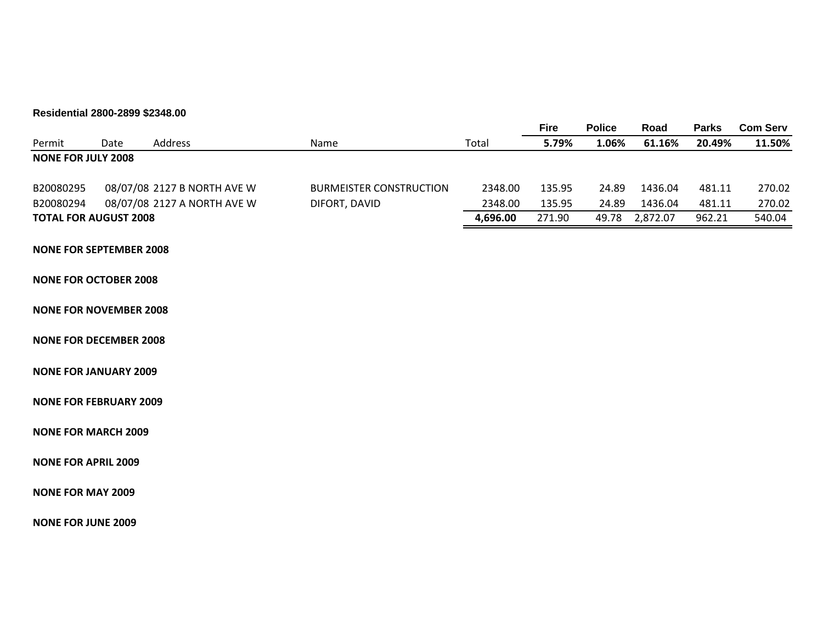# **Residential 2800-2899 \$2348.00**

|                                |      |                             |                                |          | <b>Fire</b> | <b>Police</b> | Road     | <b>Parks</b> | <b>Com Serv</b> |
|--------------------------------|------|-----------------------------|--------------------------------|----------|-------------|---------------|----------|--------------|-----------------|
| Permit                         | Date | Address                     | Name                           | Total    | 5.79%       | 1.06%         | 61.16%   | 20.49%       | 11.50%          |
| <b>NONE FOR JULY 2008</b>      |      |                             |                                |          |             |               |          |              |                 |
| B20080295                      |      | 08/07/08 2127 B NORTH AVE W | <b>BURMEISTER CONSTRUCTION</b> | 2348.00  | 135.95      | 24.89         | 1436.04  | 481.11       | 270.02          |
| B20080294                      |      | 08/07/08 2127 A NORTH AVE W | DIFORT, DAVID                  | 2348.00  | 135.95      | 24.89         | 1436.04  | 481.11       | 270.02          |
| <b>TOTAL FOR AUGUST 2008</b>   |      |                             |                                | 4,696.00 | 271.90      | 49.78         | 2,872.07 | 962.21       | 540.04          |
| <b>NONE FOR SEPTEMBER 2008</b> |      |                             |                                |          |             |               |          |              |                 |
| <b>NONE FOR OCTOBER 2008</b>   |      |                             |                                |          |             |               |          |              |                 |
| <b>NONE FOR NOVEMBER 2008</b>  |      |                             |                                |          |             |               |          |              |                 |
| <b>NONE FOR DECEMBER 2008</b>  |      |                             |                                |          |             |               |          |              |                 |
| <b>NONE FOR JANUARY 2009</b>   |      |                             |                                |          |             |               |          |              |                 |
| <b>NONE FOR FEBRUARY 2009</b>  |      |                             |                                |          |             |               |          |              |                 |
| <b>NONE FOR MARCH 2009</b>     |      |                             |                                |          |             |               |          |              |                 |
| <b>NONE FOR APRIL 2009</b>     |      |                             |                                |          |             |               |          |              |                 |
| <b>NONE FOR MAY 2009</b>       |      |                             |                                |          |             |               |          |              |                 |
| <b>NONE FOR JUNE 2009</b>      |      |                             |                                |          |             |               |          |              |                 |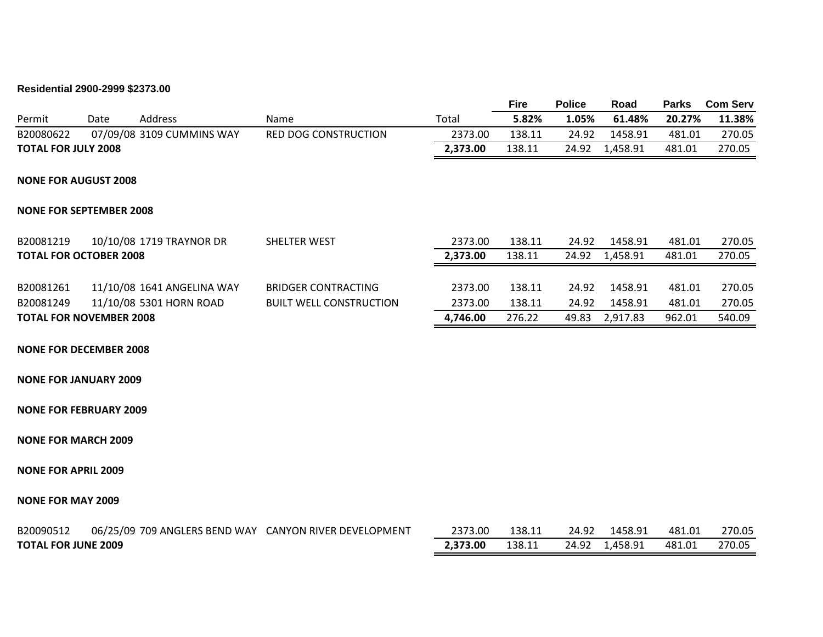# **Residential 2900-2999 \$2373.00**

|                                |      |                            |                                                        |          | <b>Fire</b> | <b>Police</b> | Road           | <b>Parks</b> | <b>Com Serv</b> |
|--------------------------------|------|----------------------------|--------------------------------------------------------|----------|-------------|---------------|----------------|--------------|-----------------|
| Permit                         | Date | Address                    | Name                                                   | Total    | 5.82%       | 1.05%         | 61.48%         | 20.27%       | 11.38%          |
| B20080622                      |      | 07/09/08 3109 CUMMINS WAY  | <b>RED DOG CONSTRUCTION</b>                            | 2373.00  | 138.11      | 24.92         | 1458.91        | 481.01       | 270.05          |
| <b>TOTAL FOR JULY 2008</b>     |      |                            |                                                        | 2,373.00 | 138.11      | 24.92         | 1,458.91       | 481.01       | 270.05          |
| <b>NONE FOR AUGUST 2008</b>    |      |                            |                                                        |          |             |               |                |              |                 |
| <b>NONE FOR SEPTEMBER 2008</b> |      |                            |                                                        |          |             |               |                |              |                 |
| B20081219                      |      | 10/10/08 1719 TRAYNOR DR   | SHELTER WEST                                           | 2373.00  | 138.11      | 24.92         | 1458.91        | 481.01       | 270.05          |
| <b>TOTAL FOR OCTOBER 2008</b>  |      |                            |                                                        | 2,373.00 | 138.11      | 24.92         | 1,458.91       | 481.01       | 270.05          |
| B20081261                      |      | 11/10/08 1641 ANGELINA WAY | <b>BRIDGER CONTRACTING</b>                             | 2373.00  | 138.11      | 24.92         | 1458.91        | 481.01       | 270.05          |
| B20081249                      |      | 11/10/08 5301 HORN ROAD    | <b>BUILT WELL CONSTRUCTION</b>                         | 2373.00  | 138.11      | 24.92         | 1458.91        | 481.01       | 270.05          |
| <b>TOTAL FOR NOVEMBER 2008</b> |      |                            |                                                        | 4,746.00 | 276.22      | 49.83         | 2,917.83       | 962.01       | 540.09          |
| <b>NONE FOR DECEMBER 2008</b>  |      |                            |                                                        |          |             |               |                |              |                 |
| <b>NONE FOR JANUARY 2009</b>   |      |                            |                                                        |          |             |               |                |              |                 |
| <b>NONE FOR FEBRUARY 2009</b>  |      |                            |                                                        |          |             |               |                |              |                 |
| <b>NONE FOR MARCH 2009</b>     |      |                            |                                                        |          |             |               |                |              |                 |
| <b>NONE FOR APRIL 2009</b>     |      |                            |                                                        |          |             |               |                |              |                 |
| <b>NONE FOR MAY 2009</b>       |      |                            |                                                        |          |             |               |                |              |                 |
| B20090512                      |      |                            | 06/25/09 709 ANGLERS BEND WAY CANYON RIVER DEVELOPMENT | 2373.00  | 138.11      | 24.92         | 1458.91        | 481.01       | 270.05          |
| <b>TOTAL FOR JUNE 2009</b>     |      |                            |                                                        | 2,373.00 | 138.11      |               | 24.92 1,458.91 | 481.01       | 270.05          |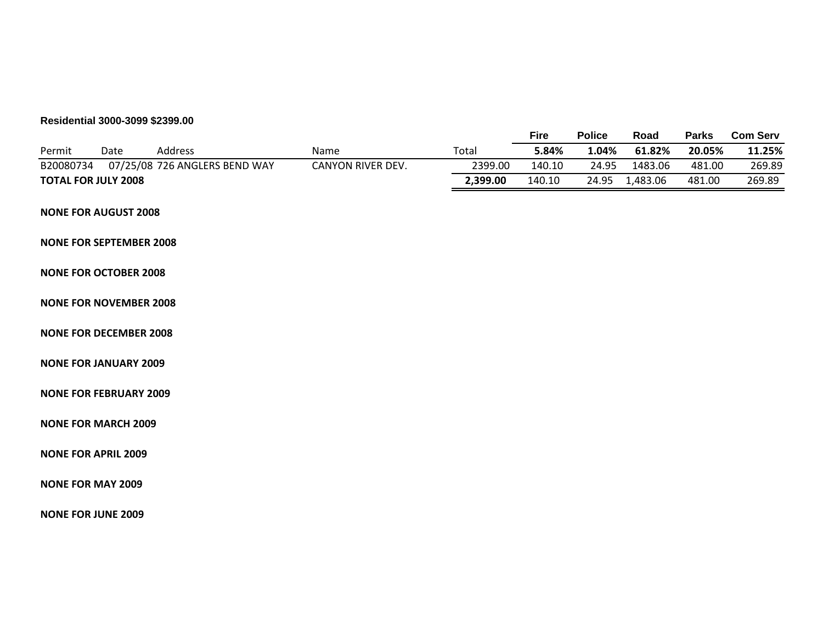# **Residential 3000-3099 \$2399.00**

|           |                                |                               |                   |          | <b>Fire</b> | <b>Police</b> | Road     | <b>Parks</b> | <b>Com Serv</b> |
|-----------|--------------------------------|-------------------------------|-------------------|----------|-------------|---------------|----------|--------------|-----------------|
| Permit    | Date                           | Address                       | Name              | Total    | 5.84%       | 1.04%         | 61.82%   | 20.05%       | 11.25%          |
| B20080734 |                                | 07/25/08 726 ANGLERS BEND WAY | CANYON RIVER DEV. | 2399.00  | 140.10      | 24.95         | 1483.06  | 481.00       | 269.89          |
|           | <b>TOTAL FOR JULY 2008</b>     |                               |                   | 2,399.00 | 140.10      | 24.95         | 1,483.06 | 481.00       | 269.89          |
|           | <b>NONE FOR AUGUST 2008</b>    |                               |                   |          |             |               |          |              |                 |
|           | <b>NONE FOR SEPTEMBER 2008</b> |                               |                   |          |             |               |          |              |                 |
|           | <b>NONE FOR OCTOBER 2008</b>   |                               |                   |          |             |               |          |              |                 |
|           | <b>NONE FOR NOVEMBER 2008</b>  |                               |                   |          |             |               |          |              |                 |
|           | <b>NONE FOR DECEMBER 2008</b>  |                               |                   |          |             |               |          |              |                 |
|           | <b>NONE FOR JANUARY 2009</b>   |                               |                   |          |             |               |          |              |                 |
|           | <b>NONE FOR FEBRUARY 2009</b>  |                               |                   |          |             |               |          |              |                 |
|           | <b>NONE FOR MARCH 2009</b>     |                               |                   |          |             |               |          |              |                 |
|           | <b>NONE FOR APRIL 2009</b>     |                               |                   |          |             |               |          |              |                 |
|           | <b>NONE FOR MAY 2009</b>       |                               |                   |          |             |               |          |              |                 |
|           | <b>NONE FOR JUNE 2009</b>      |                               |                   |          |             |               |          |              |                 |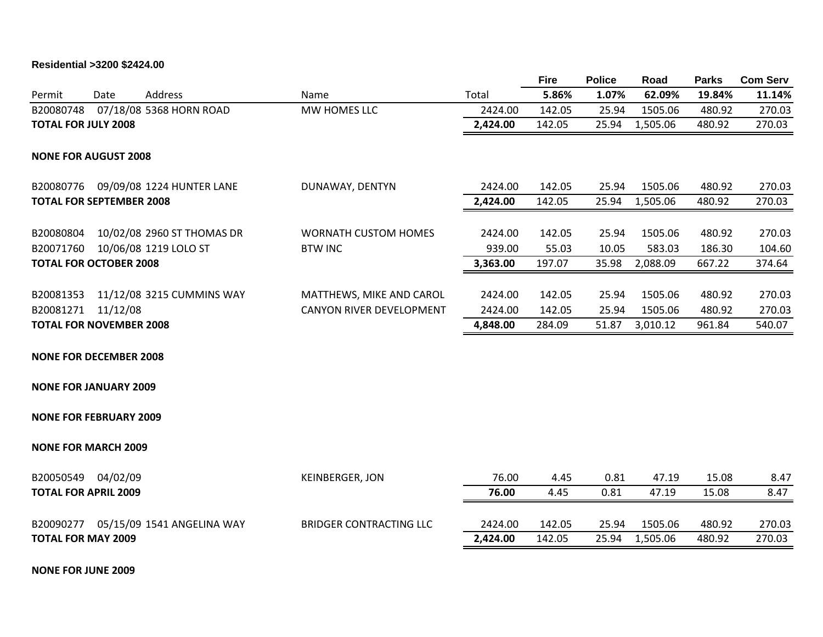# **Residential >3200 \$2424.00**

|                                 |          |                                      |                                |          | <b>Fire</b> | <b>Police</b> | Road     | <b>Parks</b> | <b>Com Serv</b> |
|---------------------------------|----------|--------------------------------------|--------------------------------|----------|-------------|---------------|----------|--------------|-----------------|
| Permit                          | Date     | Address                              | Name                           | Total    | 5.86%       | 1.07%         | 62.09%   | 19.84%       | 11.14%          |
| B20080748                       |          | 07/18/08 5368 HORN ROAD              | MW HOMES LLC                   | 2424.00  | 142.05      | 25.94         | 1505.06  | 480.92       | 270.03          |
| <b>TOTAL FOR JULY 2008</b>      |          |                                      |                                | 2,424.00 | 142.05      | 25.94         | 1,505.06 | 480.92       | 270.03          |
| <b>NONE FOR AUGUST 2008</b>     |          |                                      |                                |          |             |               |          |              |                 |
|                                 |          | B20080776 09/09/08 1224 HUNTER LANE  | DUNAWAY, DENTYN                | 2424.00  | 142.05      | 25.94         | 1505.06  | 480.92       | 270.03          |
| <b>TOTAL FOR SEPTEMBER 2008</b> |          |                                      |                                | 2,424.00 | 142.05      | 25.94         | 1,505.06 | 480.92       | 270.03          |
| B20080804                       |          | 10/02/08 2960 ST THOMAS DR           | <b>WORNATH CUSTOM HOMES</b>    | 2424.00  | 142.05      | 25.94         | 1505.06  | 480.92       | 270.03          |
| B20071760                       |          | 10/06/08 1219 LOLO ST                | <b>BTW INC</b>                 | 939.00   | 55.03       | 10.05         | 583.03   | 186.30       | 104.60          |
| <b>TOTAL FOR OCTOBER 2008</b>   |          |                                      |                                | 3,363.00 | 197.07      | 35.98         | 2,088.09 | 667.22       | 374.64          |
| B20081353                       |          | 11/12/08 3215 CUMMINS WAY            | MATTHEWS, MIKE AND CAROL       | 2424.00  | 142.05      | 25.94         | 1505.06  | 480.92       | 270.03          |
| B20081271                       | 11/12/08 |                                      | CANYON RIVER DEVELOPMENT       | 2424.00  | 142.05      | 25.94         | 1505.06  | 480.92       | 270.03          |
| <b>TOTAL FOR NOVEMBER 2008</b>  |          |                                      |                                | 4,848.00 | 284.09      | 51.87         | 3,010.12 | 961.84       | 540.07          |
| <b>NONE FOR DECEMBER 2008</b>   |          |                                      |                                |          |             |               |          |              |                 |
| <b>NONE FOR JANUARY 2009</b>    |          |                                      |                                |          |             |               |          |              |                 |
| <b>NONE FOR FEBRUARY 2009</b>   |          |                                      |                                |          |             |               |          |              |                 |
| <b>NONE FOR MARCH 2009</b>      |          |                                      |                                |          |             |               |          |              |                 |
| B20050549 04/02/09              |          |                                      | <b>KEINBERGER, JON</b>         | 76.00    | 4.45        | 0.81          | 47.19    | 15.08        | 8.47            |
| <b>TOTAL FOR APRIL 2009</b>     |          |                                      |                                | 76.00    | 4.45        | 0.81          | 47.19    | 15.08        | 8.47            |
|                                 |          | B20090277 05/15/09 1541 ANGELINA WAY | <b>BRIDGER CONTRACTING LLC</b> | 2424.00  | 142.05      | 25.94         | 1505.06  | 480.92       | 270.03          |
| <b>TOTAL FOR MAY 2009</b>       |          |                                      |                                | 2,424.00 | 142.05      | 25.94         | 1,505.06 | 480.92       | 270.03          |
|                                 |          |                                      |                                |          |             |               |          |              |                 |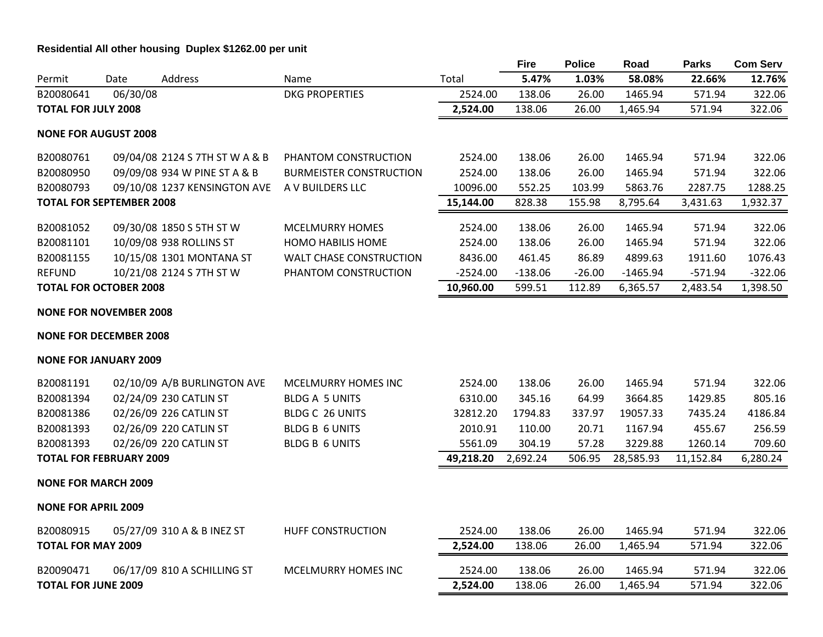# **Residential All other housing Duplex \$1262.00 per unit**

|                            |                                 |                                |                                |            | <b>Fire</b> | <b>Police</b> | Road       | <b>Parks</b> | <b>Com Serv</b> |
|----------------------------|---------------------------------|--------------------------------|--------------------------------|------------|-------------|---------------|------------|--------------|-----------------|
| Permit                     | Date                            | Address                        | Name                           | Total      | 5.47%       | 1.03%         | 58.08%     | 22.66%       | 12.76%          |
| B20080641                  | 06/30/08                        |                                | <b>DKG PROPERTIES</b>          | 2524.00    | 138.06      | 26.00         | 1465.94    | 571.94       | 322.06          |
| <b>TOTAL FOR JULY 2008</b> |                                 |                                |                                | 2,524.00   | 138.06      | 26.00         | 1,465.94   | 571.94       | 322.06          |
|                            | <b>NONE FOR AUGUST 2008</b>     |                                |                                |            |             |               |            |              |                 |
| B20080761                  |                                 | 09/04/08 2124 S 7TH ST W A & B | PHANTOM CONSTRUCTION           | 2524.00    | 138.06      | 26.00         | 1465.94    | 571.94       | 322.06          |
| B20080950                  |                                 | 09/09/08 934 W PINE ST A & B   | <b>BURMEISTER CONSTRUCTION</b> | 2524.00    | 138.06      | 26.00         | 1465.94    | 571.94       | 322.06          |
| B20080793                  |                                 | 09/10/08 1237 KENSINGTON AVE   | A V BUILDERS LLC               | 10096.00   | 552.25      | 103.99        | 5863.76    | 2287.75      | 1288.25         |
|                            | <b>TOTAL FOR SEPTEMBER 2008</b> |                                |                                | 15,144.00  | 828.38      | 155.98        | 8,795.64   | 3,431.63     | 1,932.37        |
| B20081052                  |                                 | 09/30/08 1850 S 5TH ST W       | <b>MCELMURRY HOMES</b>         | 2524.00    | 138.06      | 26.00         | 1465.94    | 571.94       | 322.06          |
| B20081101                  |                                 | 10/09/08 938 ROLLINS ST        | <b>HOMO HABILIS HOME</b>       | 2524.00    | 138.06      | 26.00         | 1465.94    | 571.94       | 322.06          |
| B20081155                  |                                 | 10/15/08 1301 MONTANA ST       | <b>WALT CHASE CONSTRUCTION</b> | 8436.00    | 461.45      | 86.89         | 4899.63    | 1911.60      | 1076.43         |
| <b>REFUND</b>              |                                 | 10/21/08 2124 S 7TH ST W       | PHANTOM CONSTRUCTION           | $-2524.00$ | $-138.06$   | $-26.00$      | $-1465.94$ | $-571.94$    | $-322.06$       |
|                            | <b>TOTAL FOR OCTOBER 2008</b>   |                                |                                | 10,960.00  | 599.51      | 112.89        | 6,365.57   | 2,483.54     | 1,398.50        |
|                            | <b>NONE FOR NOVEMBER 2008</b>   |                                |                                |            |             |               |            |              |                 |
|                            | <b>NONE FOR DECEMBER 2008</b>   |                                |                                |            |             |               |            |              |                 |
|                            | <b>NONE FOR JANUARY 2009</b>    |                                |                                |            |             |               |            |              |                 |
| B20081191                  |                                 | 02/10/09 A/B BURLINGTON AVE    | <b>MCELMURRY HOMES INC</b>     | 2524.00    | 138.06      | 26.00         | 1465.94    | 571.94       | 322.06          |
| B20081394                  |                                 | 02/24/09 230 CATLIN ST         | <b>BLDG A 5 UNITS</b>          | 6310.00    | 345.16      | 64.99         | 3664.85    | 1429.85      | 805.16          |
| B20081386                  |                                 | 02/26/09 226 CATLIN ST         | <b>BLDG C 26 UNITS</b>         | 32812.20   | 1794.83     | 337.97        | 19057.33   | 7435.24      | 4186.84         |
| B20081393                  |                                 | 02/26/09 220 CATLIN ST         | <b>BLDG B 6 UNITS</b>          | 2010.91    | 110.00      | 20.71         | 1167.94    | 455.67       | 256.59          |
| B20081393                  |                                 | 02/26/09 220 CATLIN ST         | <b>BLDG B 6 UNITS</b>          | 5561.09    | 304.19      | 57.28         | 3229.88    | 1260.14      | 709.60          |
|                            | <b>TOTAL FOR FEBRUARY 2009</b>  |                                |                                | 49,218.20  | 2,692.24    | 506.95        | 28,585.93  | 11,152.84    | 6,280.24        |
|                            | <b>NONE FOR MARCH 2009</b>      |                                |                                |            |             |               |            |              |                 |
| <b>NONE FOR APRIL 2009</b> |                                 |                                |                                |            |             |               |            |              |                 |
| B20080915                  |                                 | 05/27/09 310 A & B INEZ ST     | <b>HUFF CONSTRUCTION</b>       | 2524.00    | 138.06      | 26.00         | 1465.94    | 571.94       | 322.06          |
| <b>TOTAL FOR MAY 2009</b>  |                                 |                                |                                | 2,524.00   | 138.06      | 26.00         | 1,465.94   | 571.94       | 322.06          |
| B20090471                  |                                 | 06/17/09 810 A SCHILLING ST    | MCELMURRY HOMES INC            | 2524.00    | 138.06      | 26.00         | 1465.94    | 571.94       | 322.06          |
| <b>TOTAL FOR JUNE 2009</b> |                                 |                                |                                | 2,524.00   | 138.06      | 26.00         | 1,465.94   | 571.94       | 322.06          |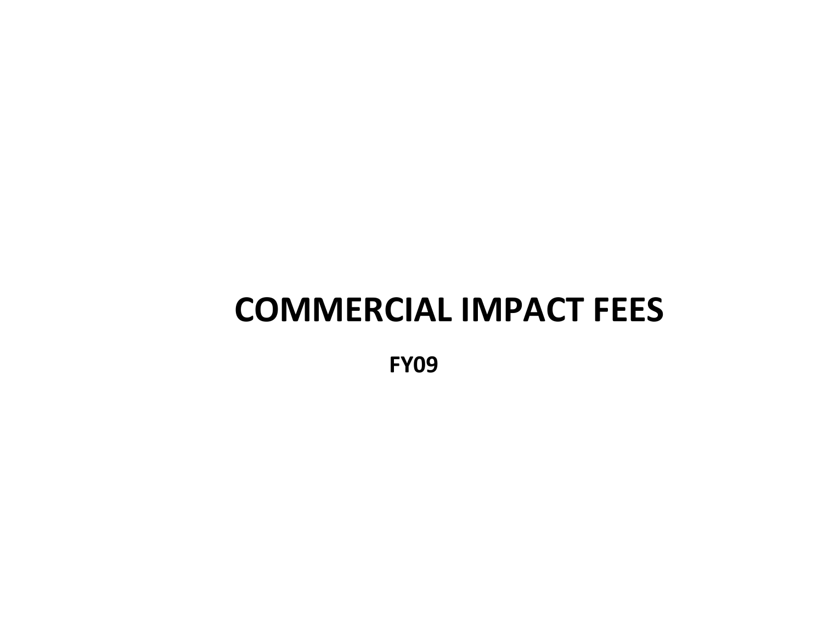# **COMMERCIAL IMPACT FEES**

**FY09**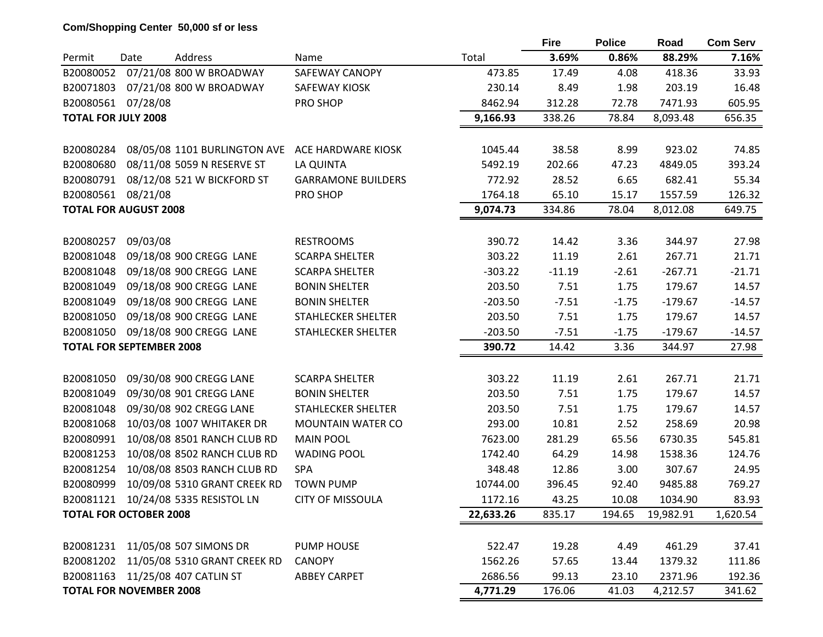# **Com/Shopping Center 50,000 sf or less**

|                                 |          |                                        |                           |           | <b>Fire</b> | <b>Police</b>  | Road      | <b>Com Serv</b>  |
|---------------------------------|----------|----------------------------------------|---------------------------|-----------|-------------|----------------|-----------|------------------|
| Permit                          | Date     | Address                                | Name                      | Total     | 3.69%       | 0.86%          | 88.29%    | 7.16%            |
| B20080052                       |          | 07/21/08 800 W BROADWAY                | <b>SAFEWAY CANOPY</b>     | 473.85    | 17.49       | 4.08           | 418.36    | 33.93            |
| B20071803                       |          | 07/21/08 800 W BROADWAY                | SAFEWAY KIOSK             | 230.14    | 8.49        | 1.98           | 203.19    | 16.48            |
| B20080561                       | 07/28/08 |                                        | PRO SHOP                  | 8462.94   | 312.28      | 72.78          | 7471.93   | 605.95           |
| <b>TOTAL FOR JULY 2008</b>      |          |                                        |                           | 9,166.93  | 338.26      | 78.84          | 8,093.48  | 656.35           |
| B20080284                       |          | 08/05/08 1101 BURLINGTON AVE           | ACE HARDWARE KIOSK        | 1045.44   | 38.58       | 8.99           | 923.02    | 74.85            |
| B20080680                       |          | 08/11/08 5059 N RESERVE ST             | LA QUINTA                 | 5492.19   | 202.66      | 47.23          | 4849.05   | 393.24           |
|                                 |          | 08/12/08 521 W BICKFORD ST             | <b>GARRAMONE BUILDERS</b> | 772.92    | 28.52       | 6.65           | 682.41    | 55.34            |
| B20080791                       |          |                                        |                           |           |             |                |           |                  |
| B20080561                       | 08/21/08 |                                        | PRO SHOP                  | 1764.18   | 65.10       | 15.17<br>78.04 | 1557.59   | 126.32<br>649.75 |
| <b>TOTAL FOR AUGUST 2008</b>    |          |                                        |                           | 9,074.73  | 334.86      |                | 8,012.08  |                  |
| B20080257                       | 09/03/08 |                                        | <b>RESTROOMS</b>          | 390.72    | 14.42       | 3.36           | 344.97    | 27.98            |
| B20081048                       |          | 09/18/08 900 CREGG LANE                | <b>SCARPA SHELTER</b>     | 303.22    | 11.19       | 2.61           | 267.71    | 21.71            |
| B20081048                       |          | 09/18/08 900 CREGG LANE                | <b>SCARPA SHELTER</b>     | $-303.22$ | $-11.19$    | $-2.61$        | $-267.71$ | $-21.71$         |
| B20081049                       |          | 09/18/08 900 CREGG LANE                | <b>BONIN SHELTER</b>      | 203.50    | 7.51        | 1.75           | 179.67    | 14.57            |
| B20081049                       |          | 09/18/08 900 CREGG LANE                | <b>BONIN SHELTER</b>      | $-203.50$ | $-7.51$     | $-1.75$        | $-179.67$ | $-14.57$         |
| B20081050                       |          | 09/18/08 900 CREGG LANE                | <b>STAHLECKER SHELTER</b> | 203.50    | 7.51        | 1.75           | 179.67    | 14.57            |
| B20081050                       |          | 09/18/08 900 CREGG LANE                | STAHLECKER SHELTER        | $-203.50$ | $-7.51$     | $-1.75$        | $-179.67$ | $-14.57$         |
| <b>TOTAL FOR SEPTEMBER 2008</b> |          |                                        |                           | 390.72    | 14.42       | 3.36           | 344.97    | 27.98            |
|                                 |          |                                        |                           |           |             |                |           |                  |
| B20081050                       |          | 09/30/08 900 CREGG LANE                | <b>SCARPA SHELTER</b>     | 303.22    | 11.19       | 2.61           | 267.71    | 21.71            |
| B20081049                       |          | 09/30/08 901 CREGG LANE                | <b>BONIN SHELTER</b>      | 203.50    | 7.51        | 1.75           | 179.67    | 14.57            |
| B20081048                       |          | 09/30/08 902 CREGG LANE                | <b>STAHLECKER SHELTER</b> | 203.50    | 7.51        | 1.75           | 179.67    | 14.57            |
| B20081068                       |          | 10/03/08 1007 WHITAKER DR              | <b>MOUNTAIN WATER CO</b>  | 293.00    | 10.81       | 2.52           | 258.69    | 20.98            |
| B20080991                       |          | 10/08/08 8501 RANCH CLUB RD            | <b>MAIN POOL</b>          | 7623.00   | 281.29      | 65.56          | 6730.35   | 545.81           |
| B20081253                       |          | 10/08/08 8502 RANCH CLUB RD            | <b>WADING POOL</b>        | 1742.40   | 64.29       | 14.98          | 1538.36   | 124.76           |
| B20081254                       |          | 10/08/08 8503 RANCH CLUB RD            | SPA                       | 348.48    | 12.86       | 3.00           | 307.67    | 24.95            |
| B20080999                       |          | 10/09/08 5310 GRANT CREEK RD           | <b>TOWN PUMP</b>          | 10744.00  | 396.45      | 92.40          | 9485.88   | 769.27           |
| B20081121                       |          | 10/24/08 5335 RESISTOL LN              | <b>CITY OF MISSOULA</b>   | 1172.16   | 43.25       | 10.08          | 1034.90   | 83.93            |
| <b>TOTAL FOR OCTOBER 2008</b>   |          |                                        |                           | 22,633.26 | 835.17      | 194.65         | 19,982.91 | 1,620.54         |
|                                 |          |                                        |                           |           |             |                |           |                  |
| B20081231                       |          | 11/05/08 507 SIMONS DR                 | PUMP HOUSE                | 522.47    | 19.28       | 4.49           | 461.29    | 37.41            |
|                                 |          | B20081202 11/05/08 5310 GRANT CREEK RD | <b>CANOPY</b>             | 1562.26   | 57.65       | 13.44          | 1379.32   | 111.86           |
|                                 |          | B20081163 11/25/08 407 CATLIN ST       | <b>ABBEY CARPET</b>       | 2686.56   | 99.13       | 23.10          | 2371.96   | 192.36           |
| <b>TOTAL FOR NOVEMBER 2008</b>  |          |                                        |                           | 4,771.29  | 176.06      | 41.03          | 4,212.57  | 341.62           |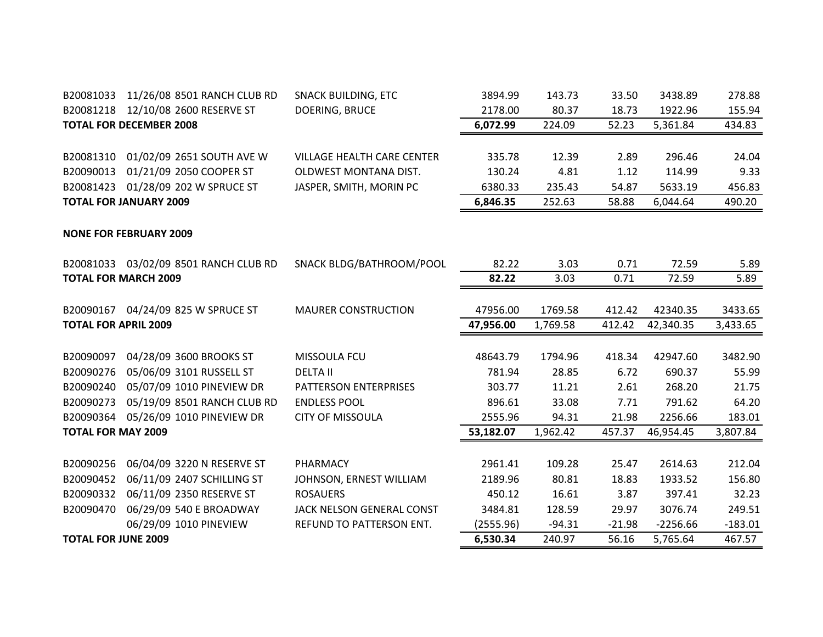| B20081033                   | 11/26/08 8501 RANCH CLUB RD           | <b>SNACK BUILDING, ETC</b>        | 3894.99   | 143.73   | 33.50          | 3438.89    | 278.88           |
|-----------------------------|---------------------------------------|-----------------------------------|-----------|----------|----------------|------------|------------------|
|                             | B20081218 12/10/08 2600 RESERVE ST    | DOERING, BRUCE                    | 2178.00   | 80.37    | 18.73          | 1922.96    | 155.94           |
|                             | <b>TOTAL FOR DECEMBER 2008</b>        |                                   | 6,072.99  | 224.09   | 52.23          | 5,361.84   | 434.83           |
| B20081310                   | 01/02/09 2651 SOUTH AVE W             | <b>VILLAGE HEALTH CARE CENTER</b> | 335.78    | 12.39    | 2.89           | 296.46     | 24.04            |
| B20090013                   | 01/21/09 2050 COOPER ST               | OLDWEST MONTANA DIST.             | 130.24    | 4.81     | 1.12           | 114.99     | 9.33             |
| B20081423                   | 01/28/09 202 W SPRUCE ST              | JASPER, SMITH, MORIN PC           | 6380.33   |          |                |            |                  |
|                             | <b>TOTAL FOR JANUARY 2009</b>         |                                   |           | 235.43   | 54.87<br>58.88 | 5633.19    | 456.83<br>490.20 |
|                             |                                       |                                   | 6,846.35  | 252.63   |                | 6,044.64   |                  |
|                             | <b>NONE FOR FEBRUARY 2009</b>         |                                   |           |          |                |            |                  |
|                             | B20081033 03/02/09 8501 RANCH CLUB RD | SNACK BLDG/BATHROOM/POOL          | 82.22     | 3.03     | 0.71           | 72.59      | 5.89             |
|                             | <b>TOTAL FOR MARCH 2009</b>           |                                   | 82.22     | 3.03     | 0.71           | 72.59      | 5.89             |
|                             |                                       |                                   |           |          |                |            |                  |
|                             | B20090167 04/24/09 825 W SPRUCE ST    | <b>MAURER CONSTRUCTION</b>        | 47956.00  | 1769.58  | 412.42         | 42340.35   | 3433.65          |
| <b>TOTAL FOR APRIL 2009</b> |                                       |                                   | 47,956.00 | 1,769.58 | 412.42         | 42,340.35  | 3,433.65         |
|                             |                                       |                                   |           |          |                |            |                  |
| B20090097                   | 04/28/09 3600 BROOKS ST               | MISSOULA FCU                      | 48643.79  | 1794.96  | 418.34         | 42947.60   | 3482.90          |
| B20090276                   | 05/06/09 3101 RUSSELL ST              | <b>DELTA II</b>                   | 781.94    | 28.85    | 6.72           | 690.37     | 55.99            |
| B20090240                   | 05/07/09 1010 PINEVIEW DR             | PATTERSON ENTERPRISES             | 303.77    | 11.21    | 2.61           | 268.20     | 21.75            |
| B20090273                   | 05/19/09 8501 RANCH CLUB RD           | <b>ENDLESS POOL</b>               | 896.61    | 33.08    | 7.71           | 791.62     | 64.20            |
| B20090364                   | 05/26/09 1010 PINEVIEW DR             | <b>CITY OF MISSOULA</b>           | 2555.96   | 94.31    | 21.98          | 2256.66    | 183.01           |
| <b>TOTAL FOR MAY 2009</b>   |                                       |                                   | 53,182.07 | 1,962.42 | 457.37         | 46,954.45  | 3,807.84         |
|                             |                                       |                                   |           |          |                |            |                  |
| B20090256                   | 06/04/09 3220 N RESERVE ST            | PHARMACY                          | 2961.41   | 109.28   | 25.47          | 2614.63    | 212.04           |
| B20090452                   | 06/11/09 2407 SCHILLING ST            | JOHNSON, ERNEST WILLIAM           | 2189.96   | 80.81    | 18.83          | 1933.52    | 156.80           |
| B20090332                   | 06/11/09 2350 RESERVE ST              | <b>ROSAUERS</b>                   | 450.12    | 16.61    | 3.87           | 397.41     | 32.23            |
| B20090470                   | 06/29/09 540 E BROADWAY               | JACK NELSON GENERAL CONST         | 3484.81   | 128.59   | 29.97          | 3076.74    | 249.51           |
|                             | 06/29/09 1010 PINEVIEW                | REFUND TO PATTERSON ENT.          | (2555.96) | $-94.31$ | $-21.98$       | $-2256.66$ | $-183.01$        |
| <b>TOTAL FOR JUNE 2009</b>  |                                       |                                   | 6,530.34  | 240.97   | 56.16          | 5,765.64   | 467.57           |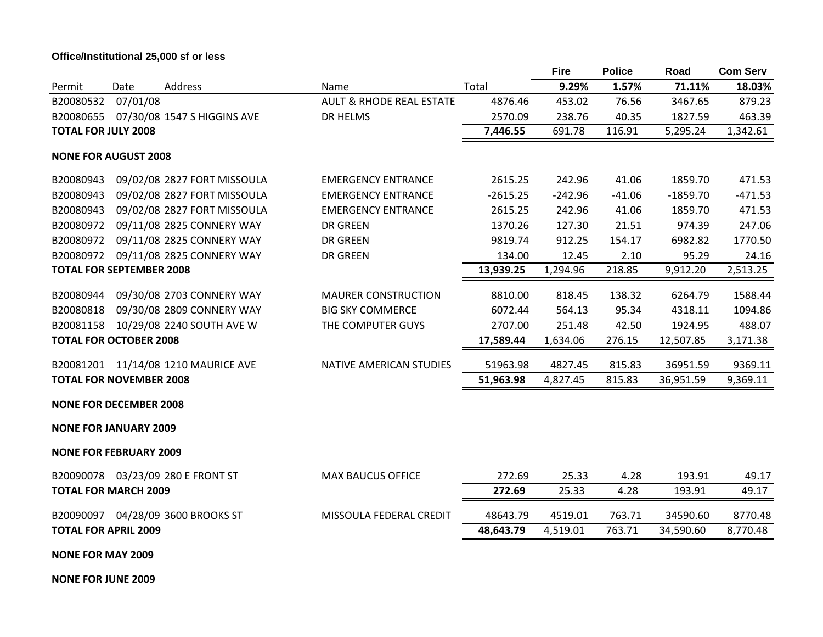# **Office/Institutional 25,000 sf or less**

|                                 |          |                                     |                                     |            | <b>Fire</b> | <b>Police</b> | Road       | <b>Com Serv</b> |
|---------------------------------|----------|-------------------------------------|-------------------------------------|------------|-------------|---------------|------------|-----------------|
| Permit                          | Date     | Address                             | Name                                | Total      | 9.29%       | 1.57%         | 71.11%     | 18.03%          |
| B20080532                       | 07/01/08 |                                     | <b>AULT &amp; RHODE REAL ESTATE</b> | 4876.46    | 453.02      | 76.56         | 3467.65    | 879.23          |
| B20080655                       |          | 07/30/08 1547 S HIGGINS AVE         | DR HELMS                            | 2570.09    | 238.76      | 40.35         | 1827.59    | 463.39          |
| <b>TOTAL FOR JULY 2008</b>      |          |                                     |                                     | 7,446.55   | 691.78      | 116.91        | 5,295.24   | 1,342.61        |
| <b>NONE FOR AUGUST 2008</b>     |          |                                     |                                     |            |             |               |            |                 |
| B20080943                       |          | 09/02/08 2827 FORT MISSOULA         | <b>EMERGENCY ENTRANCE</b>           | 2615.25    | 242.96      | 41.06         | 1859.70    | 471.53          |
| B20080943                       |          | 09/02/08 2827 FORT MISSOULA         | <b>EMERGENCY ENTRANCE</b>           | $-2615.25$ | $-242.96$   | $-41.06$      | $-1859.70$ | $-471.53$       |
| B20080943                       |          | 09/02/08 2827 FORT MISSOULA         | <b>EMERGENCY ENTRANCE</b>           | 2615.25    | 242.96      | 41.06         | 1859.70    | 471.53          |
| B20080972                       |          | 09/11/08 2825 CONNERY WAY           | <b>DR GREEN</b>                     | 1370.26    | 127.30      | 21.51         | 974.39     | 247.06          |
| B20080972                       |          | 09/11/08 2825 CONNERY WAY           | <b>DR GREEN</b>                     | 9819.74    | 912.25      | 154.17        | 6982.82    | 1770.50         |
| B20080972                       |          | 09/11/08 2825 CONNERY WAY           | <b>DR GREEN</b>                     | 134.00     | 12.45       | 2.10          | 95.29      | 24.16           |
| <b>TOTAL FOR SEPTEMBER 2008</b> |          |                                     |                                     | 13,939.25  | 1,294.96    | 218.85        | 9,912.20   | 2,513.25        |
| B20080944                       |          | 09/30/08 2703 CONNERY WAY           | <b>MAURER CONSTRUCTION</b>          | 8810.00    | 818.45      | 138.32        | 6264.79    | 1588.44         |
| B20080818                       |          | 09/30/08 2809 CONNERY WAY           | <b>BIG SKY COMMERCE</b>             | 6072.44    | 564.13      | 95.34         | 4318.11    | 1094.86         |
|                                 |          | B20081158 10/29/08 2240 SOUTH AVE W | THE COMPUTER GUYS                   | 2707.00    | 251.48      | 42.50         | 1924.95    | 488.07          |
| <b>TOTAL FOR OCTOBER 2008</b>   |          |                                     |                                     | 17,589.44  | 1,634.06    | 276.15        | 12,507.85  | 3,171.38        |
|                                 |          | B20081201 11/14/08 1210 MAURICE AVE | NATIVE AMERICAN STUDIES             | 51963.98   | 4827.45     | 815.83        | 36951.59   | 9369.11         |
| <b>TOTAL FOR NOVEMBER 2008</b>  |          |                                     |                                     | 51,963.98  | 4,827.45    | 815.83        | 36,951.59  | 9,369.11        |
| <b>NONE FOR DECEMBER 2008</b>   |          |                                     |                                     |            |             |               |            |                 |
| <b>NONE FOR JANUARY 2009</b>    |          |                                     |                                     |            |             |               |            |                 |
| <b>NONE FOR FEBRUARY 2009</b>   |          |                                     |                                     |            |             |               |            |                 |
|                                 |          | B20090078 03/23/09 280 E FRONT ST   | <b>MAX BAUCUS OFFICE</b>            | 272.69     | 25.33       | 4.28          | 193.91     | 49.17           |
| <b>TOTAL FOR MARCH 2009</b>     |          |                                     |                                     | 272.69     | 25.33       | 4.28          | 193.91     | 49.17           |
|                                 |          | B20090097 04/28/09 3600 BROOKS ST   | MISSOULA FEDERAL CREDIT             | 48643.79   | 4519.01     | 763.71        | 34590.60   | 8770.48         |
| <b>TOTAL FOR APRIL 2009</b>     |          |                                     |                                     | 48,643.79  | 4,519.01    | 763.71        | 34,590.60  | 8,770.48        |
| <b>NONE FOR MAY 2009</b>        |          |                                     |                                     |            |             |               |            |                 |
| <b>NONE FOR JUNE 2009</b>       |          |                                     |                                     |            |             |               |            |                 |